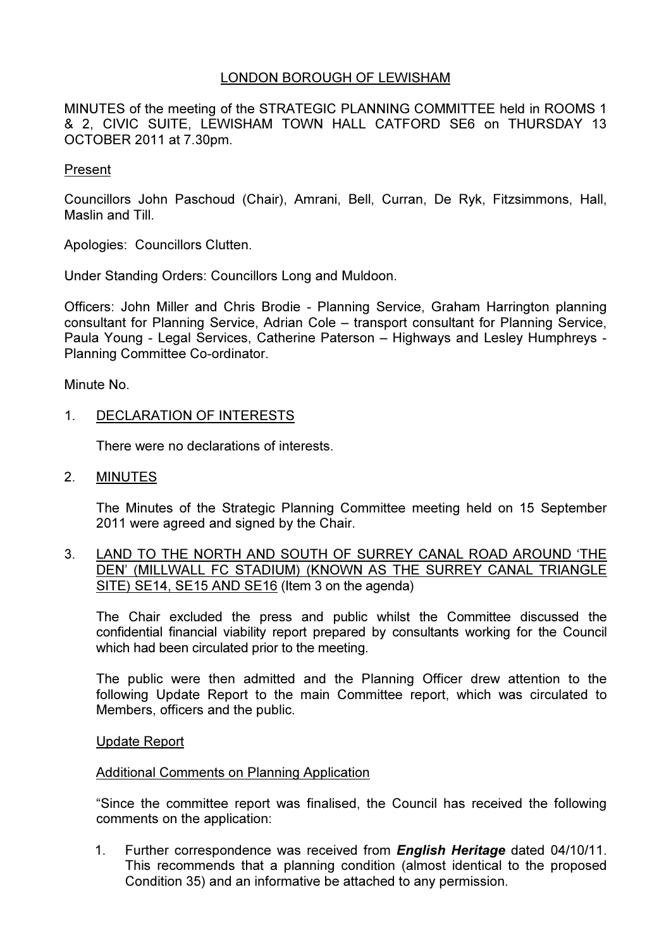### LONDON BOROUGH OF LEWISHAM

MINUTES of the meeting of the STRATEGIC PLANNING COMMITTEE held in ROOMS 1 & 2, CIVIC SUITE, LEWISHAM TOWN HALL CATFORD SE6 on THURSDAY 13 OCTOBER 2011 at 7.30pm.

#### Present

Councillors John Paschoud (Chair), Amrani, Bell, Curran, De Ryk, Fitzsimmons, Hall, Maslin and Till.

Apologies: Councillors Clutten.

Under Standing Orders: Councillors Long and Muldoon.

Officers: John Miller and Chris Brodie - Planning Service, Graham Harrington planning consultant for Planning Service, Adrian Cole – transport consultant for Planning Service, Paula Young - Legal Services, Catherine Paterson – Highways and Lesley Humphreys - Planning Committee Co-ordinator.

Minute No.

#### 1. DECLARATION OF INTERESTS

There were no declarations of interests.

2. MINUTES

 The Minutes of the Strategic Planning Committee meeting held on 15 September 2011 were agreed and signed by the Chair.

3. LAND TO THE NORTH AND SOUTH OF SURREY CANAL ROAD AROUND 'THE DEN' (MILLWALL FC STADIUM) (KNOWN AS THE SURREY CANAL TRIANGLE SITE) SE14, SE15 AND SE16 (Item 3 on the agenda)

 The Chair excluded the press and public whilst the Committee discussed the confidential financial viability report prepared by consultants working for the Council which had been circulated prior to the meeting.

The public were then admitted and the Planning Officer drew attention to the following Update Report to the main Committee report, which was circulated to Members, officers and the public.

#### Update Report

#### Additional Comments on Planning Application

"Since the committee report was finalised, the Council has received the following comments on the application:

1. Further correspondence was received from **English Heritage** dated 04/10/11. This recommends that a planning condition (almost identical to the proposed Condition 35) and an informative be attached to any permission.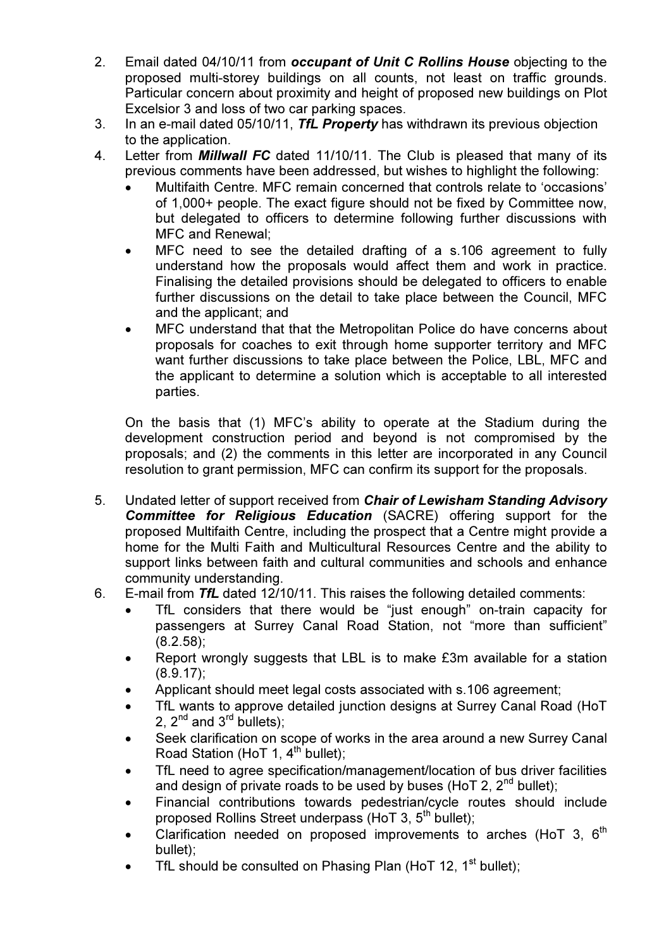- 2. Email dated 04/10/11 from occupant of Unit C Rollins House objecting to the proposed multi-storey buildings on all counts, not least on traffic grounds. Particular concern about proximity and height of proposed new buildings on Plot Excelsior 3 and loss of two car parking spaces.
- 3. In an e-mail dated 05/10/11, TfL Property has withdrawn its previous objection to the application.
- 4. Letter from **Millwall FC** dated 11/10/11. The Club is pleased that many of its previous comments have been addressed, but wishes to highlight the following:
	- Multifaith Centre. MFC remain concerned that controls relate to 'occasions' of 1,000+ people. The exact figure should not be fixed by Committee now, but delegated to officers to determine following further discussions with MFC and Renewal;
	- MFC need to see the detailed drafting of a s.106 agreement to fully understand how the proposals would affect them and work in practice. Finalising the detailed provisions should be delegated to officers to enable further discussions on the detail to take place between the Council, MFC and the applicant; and
	- MFC understand that that the Metropolitan Police do have concerns about proposals for coaches to exit through home supporter territory and MFC want further discussions to take place between the Police, LBL, MFC and the applicant to determine a solution which is acceptable to all interested parties.

On the basis that (1) MFC's ability to operate at the Stadium during the development construction period and beyond is not compromised by the proposals; and (2) the comments in this letter are incorporated in any Council resolution to grant permission, MFC can confirm its support for the proposals.

- 5. Undated letter of support received from Chair of Lewisham Standing Advisory Committee for Religious Education (SACRE) offering support for the proposed Multifaith Centre, including the prospect that a Centre might provide a home for the Multi Faith and Multicultural Resources Centre and the ability to support links between faith and cultural communities and schools and enhance community understanding.
- 6. E-mail from TfL dated 12/10/11. This raises the following detailed comments:
	- TfL considers that there would be "just enough" on-train capacity for passengers at Surrey Canal Road Station, not "more than sufficient" (8.2.58);
	- Report wrongly suggests that LBL is to make £3m available for a station (8.9.17);
	- Applicant should meet legal costs associated with s.106 agreement;
	- TfL wants to approve detailed junction designs at Surrey Canal Road (HoT 2,  $2^{nd}$  and  $3^{rd}$  bullets);
	- Seek clarification on scope of works in the area around a new Surrey Canal Road Station (HoT 1,  $4^{\text{th}}$  bullet);
	- TfL need to agree specification/management/location of bus driver facilities and design of private roads to be used by buses (HoT 2,  $2^{nd}$  bullet);
	- Financial contributions towards pedestrian/cycle routes should include proposed Rollins Street underpass (HoT 3,  $5<sup>th</sup>$  bullet);
	- Clarification needed on proposed improvements to arches (HoT 3,  $6<sup>th</sup>$ bullet);
	- TfL should be consulted on Phasing Plan (HoT 12,  $1<sup>st</sup>$  bullet);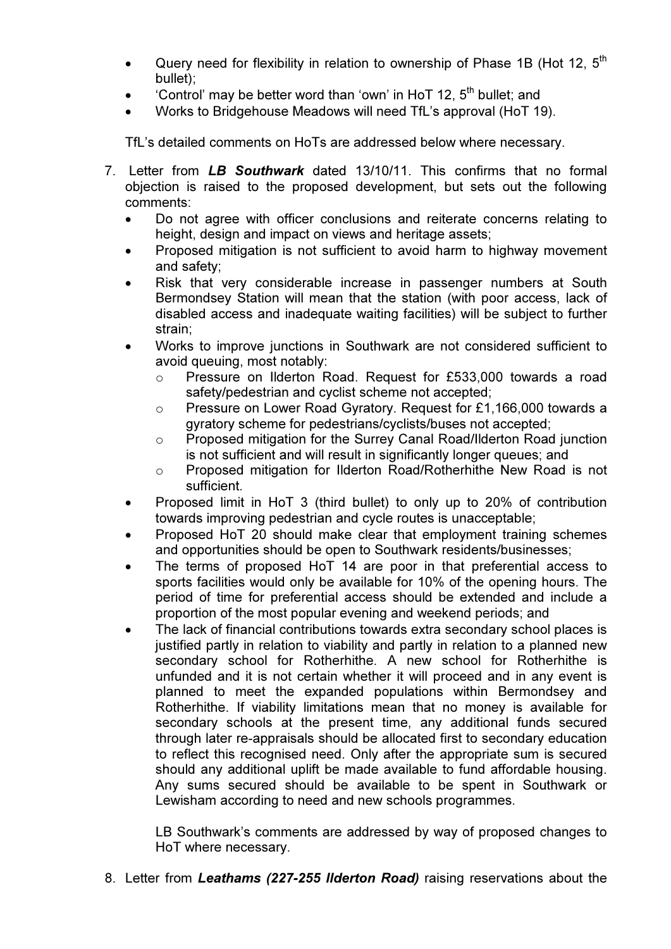- Query need for flexibility in relation to ownership of Phase 1B (Hot 12,  $5<sup>th</sup>$ bullet);
- 'Control' may be better word than 'own' in HoT 12,  $5<sup>th</sup>$  bullet: and
- Works to Bridgehouse Meadows will need TfL's approval (HoT 19).

TfL's detailed comments on HoTs are addressed below where necessary.

- 7. Letter from LB Southwark dated 13/10/11. This confirms that no formal objection is raised to the proposed development, but sets out the following comments:
	- Do not agree with officer conclusions and reiterate concerns relating to height, design and impact on views and heritage assets;
	- Proposed mitigation is not sufficient to avoid harm to highway movement and safety;
	- Risk that very considerable increase in passenger numbers at South Bermondsey Station will mean that the station (with poor access, lack of disabled access and inadequate waiting facilities) will be subject to further strain;
	- Works to improve junctions in Southwark are not considered sufficient to avoid queuing, most notably:
		- o Pressure on Ilderton Road. Request for £533,000 towards a road safety/pedestrian and cyclist scheme not accepted;
		- o Pressure on Lower Road Gyratory. Request for £1,166,000 towards a gyratory scheme for pedestrians/cyclists/buses not accepted;
		- o Proposed mitigation for the Surrey Canal Road/Ilderton Road junction is not sufficient and will result in significantly longer queues; and
		- o Proposed mitigation for Ilderton Road/Rotherhithe New Road is not sufficient.
	- Proposed limit in HoT 3 (third bullet) to only up to 20% of contribution towards improving pedestrian and cycle routes is unacceptable;
	- Proposed HoT 20 should make clear that employment training schemes and opportunities should be open to Southwark residents/businesses;
	- The terms of proposed HoT 14 are poor in that preferential access to sports facilities would only be available for 10% of the opening hours. The period of time for preferential access should be extended and include a proportion of the most popular evening and weekend periods; and
	- The lack of financial contributions towards extra secondary school places is justified partly in relation to viability and partly in relation to a planned new secondary school for Rotherhithe. A new school for Rotherhithe is unfunded and it is not certain whether it will proceed and in any event is planned to meet the expanded populations within Bermondsey and Rotherhithe. If viability limitations mean that no money is available for secondary schools at the present time, any additional funds secured through later re-appraisals should be allocated first to secondary education to reflect this recognised need. Only after the appropriate sum is secured should any additional uplift be made available to fund affordable housing. Any sums secured should be available to be spent in Southwark or Lewisham according to need and new schools programmes.

 LB Southwark's comments are addressed by way of proposed changes to HoT where necessary.

8. Letter from Leathams (227-255 Ilderton Road) raising reservations about the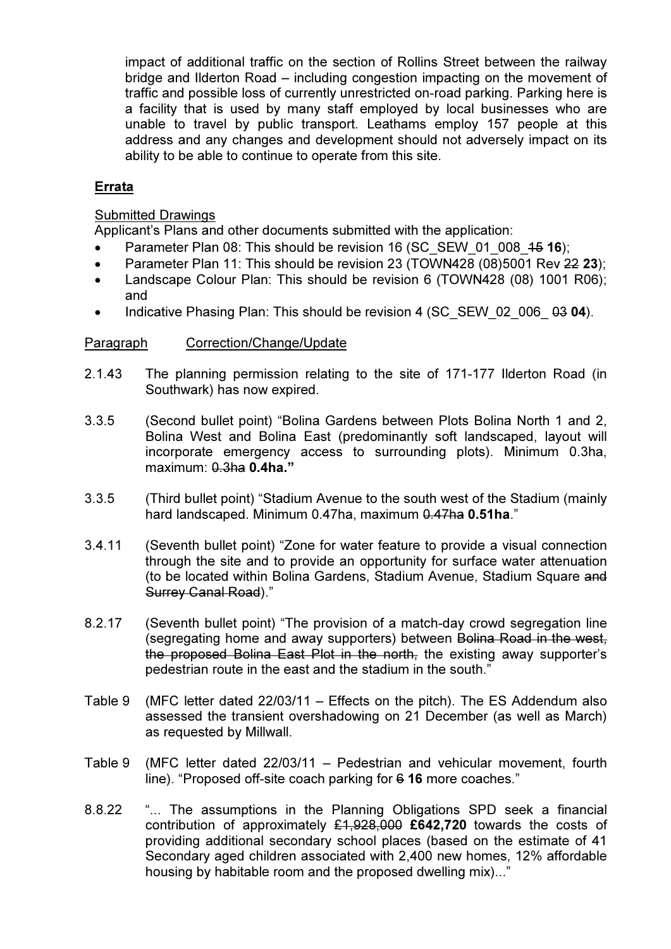impact of additional traffic on the section of Rollins Street between the railway bridge and Ilderton Road – including congestion impacting on the movement of traffic and possible loss of currently unrestricted on-road parking. Parking here is a facility that is used by many staff employed by local businesses who are unable to travel by public transport. Leathams employ 157 people at this address and any changes and development should not adversely impact on its ability to be able to continue to operate from this site.

### Errata

#### Submitted Drawings

Applicant's Plans and other documents submitted with the application:

- Parameter Plan 08: This should be revision 16 (SC\_SEW\_01\_008\_15 16);
- Parameter Plan 11: This should be revision 23 (TOWN428 (08)5001 Rev 22 23);
- Landscape Colour Plan: This should be revision 6 (TOWN428 (08) 1001 R06); and
- Indicative Phasing Plan: This should be revision 4 (SC\_SEW\_02\_006\_ 03 04).

#### Paragraph Correction/Change/Update

- 2.1.43 The planning permission relating to the site of 171-177 Ilderton Road (in Southwark) has now expired.
- 3.3.5 (Second bullet point) "Bolina Gardens between Plots Bolina North 1 and 2, Bolina West and Bolina East (predominantly soft landscaped, layout will incorporate emergency access to surrounding plots). Minimum 0.3ha, maximum: 0.3ha 0.4ha."
- 3.3.5 (Third bullet point) "Stadium Avenue to the south west of the Stadium (mainly hard landscaped. Minimum 0.47ha, maximum 0.47ha 0.51ha."
- 3.4.11 (Seventh bullet point) "Zone for water feature to provide a visual connection through the site and to provide an opportunity for surface water attenuation (to be located within Bolina Gardens, Stadium Avenue, Stadium Square and Surrey Canal Road)."
- 8.2.17 (Seventh bullet point) "The provision of a match-day crowd segregation line (segregating home and away supporters) between Bolina Road in the west. the proposed Bolina East Plot in the north, the existing away supporter's pedestrian route in the east and the stadium in the south."
- Table 9 (MFC letter dated 22/03/11 Effects on the pitch). The ES Addendum also assessed the transient overshadowing on 21 December (as well as March) as requested by Millwall.
- Table 9 (MFC letter dated 22/03/11 Pedestrian and vehicular movement, fourth line). "Proposed off-site coach parking for 6 16 more coaches."
- 8.8.22 "... The assumptions in the Planning Obligations SPD seek a financial contribution of approximately  $£1,928,000$  £642,720 towards the costs of providing additional secondary school places (based on the estimate of 41 Secondary aged children associated with 2,400 new homes, 12% affordable housing by habitable room and the proposed dwelling mix)..."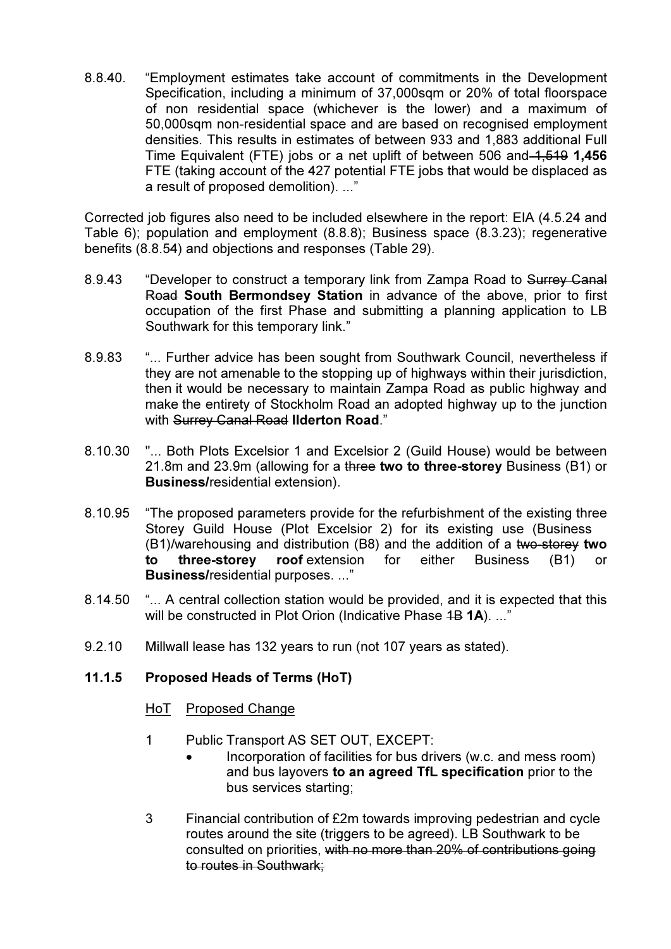8.8.40. "Employment estimates take account of commitments in the Development Specification, including a minimum of 37,000sqm or 20% of total floorspace of non residential space (whichever is the lower) and a maximum of 50,000sqm non-residential space and are based on recognised employment densities. This results in estimates of between 933 and 1,883 additional Full Time Equivalent (FTE) jobs or a net uplift of between 506 and 1,519 1,456 FTE (taking account of the 427 potential FTE jobs that would be displaced as a result of proposed demolition). ..."

Corrected job figures also need to be included elsewhere in the report: EIA (4.5.24 and Table 6); population and employment (8.8.8); Business space (8.3.23); regenerative benefits (8.8.54) and objections and responses (Table 29).

- 8.9.43 "Developer to construct a temporary link from Zampa Road to Surrey Canal Road South Bermondsey Station in advance of the above, prior to first occupation of the first Phase and submitting a planning application to LB Southwark for this temporary link."
- 8.9.83 "... Further advice has been sought from Southwark Council, nevertheless if they are not amenable to the stopping up of highways within their jurisdiction, then it would be necessary to maintain Zampa Road as public highway and make the entirety of Stockholm Road an adopted highway up to the junction with Surrey Canal Road Ilderton Road."
- 8.10.30 "... Both Plots Excelsior 1 and Excelsior 2 (Guild House) would be between 21.8m and 23.9m (allowing for a three two to three-storey Business (B1) or Business/residential extension).
- 8.10.95 "The proposed parameters provide for the refurbishment of the existing three Storey Guild House (Plot Excelsior 2) for its existing use (Business  $(B1)$ /warehousing and distribution (B8) and the addition of a two-storey two to three-storey roof extension for either Business (B1) or Business/residential purposes. ..."
- 8.14.50 "... A central collection station would be provided, and it is expected that this will be constructed in Plot Orion (Indicative Phase 4B 1A). ..."
- 9.2.10 Millwall lease has 132 years to run (not 107 years as stated).

### 11.1.5 Proposed Heads of Terms (HoT)

#### HoT Proposed Change

- 1 Public Transport AS SET OUT, EXCEPT:
	- Incorporation of facilities for bus drivers (w.c. and mess room) and bus layovers to an agreed TfL specification prior to the bus services starting;
- 3 Financial contribution of £2m towards improving pedestrian and cycle routes around the site (triggers to be agreed). LB Southwark to be consulted on priorities, with no more than 20% of contributions going to routes in Southwark;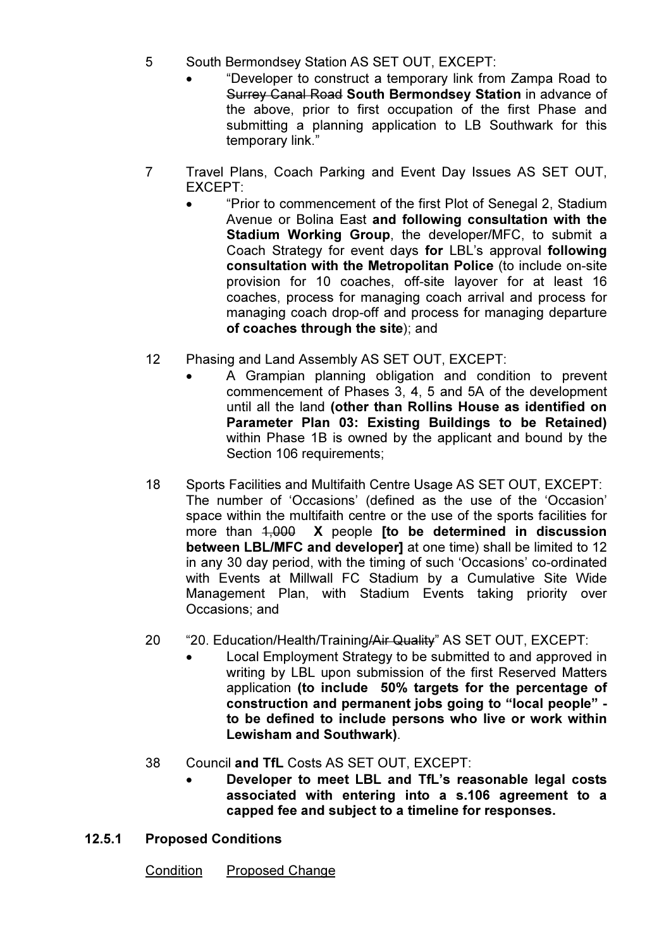- 5 South Bermondsey Station AS SET OUT, EXCEPT:
	- "Developer to construct a temporary link from Zampa Road to Surrey Canal Road South Bermondsey Station in advance of the above, prior to first occupation of the first Phase and submitting a planning application to LB Southwark for this temporary link."
- 7 Travel Plans, Coach Parking and Event Day Issues AS SET OUT, EXCEPT:
	- "Prior to commencement of the first Plot of Senegal 2, Stadium Avenue or Bolina East and following consultation with the Stadium Working Group, the developer/MFC, to submit a Coach Strategy for event days for LBL's approval following consultation with the Metropolitan Police (to include on-site provision for 10 coaches, off-site layover for at least 16 coaches, process for managing coach arrival and process for managing coach drop-off and process for managing departure of coaches through the site); and
- 12 Phasing and Land Assembly AS SET OUT, EXCEPT:
	- A Grampian planning obligation and condition to prevent commencement of Phases 3, 4, 5 and 5A of the development until all the land (other than Rollins House as identified on Parameter Plan 03: Existing Buildings to be Retained) within Phase 1B is owned by the applicant and bound by the Section 106 requirements;
- 18 Sports Facilities and Multifaith Centre Usage AS SET OUT, EXCEPT: The number of 'Occasions' (defined as the use of the 'Occasion' space within the multifaith centre or the use of the sports facilities for more than  $1,000$  X people [to be determined in discussion between LBL/MFC and developer] at one time) shall be limited to 12 in any 30 day period, with the timing of such 'Occasions' co-ordinated with Events at Millwall FC Stadium by a Cumulative Site Wide Management Plan, with Stadium Events taking priority over Occasions; and
- 20 "20. Education/Health/Training/Air Quality" AS SET OUT, EXCEPT:
	- Local Employment Strategy to be submitted to and approved in writing by LBL upon submission of the first Reserved Matters application (to include 50% targets for the percentage of construction and permanent jobs going to "local people" to be defined to include persons who live or work within Lewisham and Southwark).
- 38 Council and TfL Costs AS SET OUT, EXCEPT:
	- Developer to meet LBL and TfL's reasonable legal costs associated with entering into a s.106 agreement to a capped fee and subject to a timeline for responses.
- 12.5.1 Proposed Conditions

Condition Proposed Change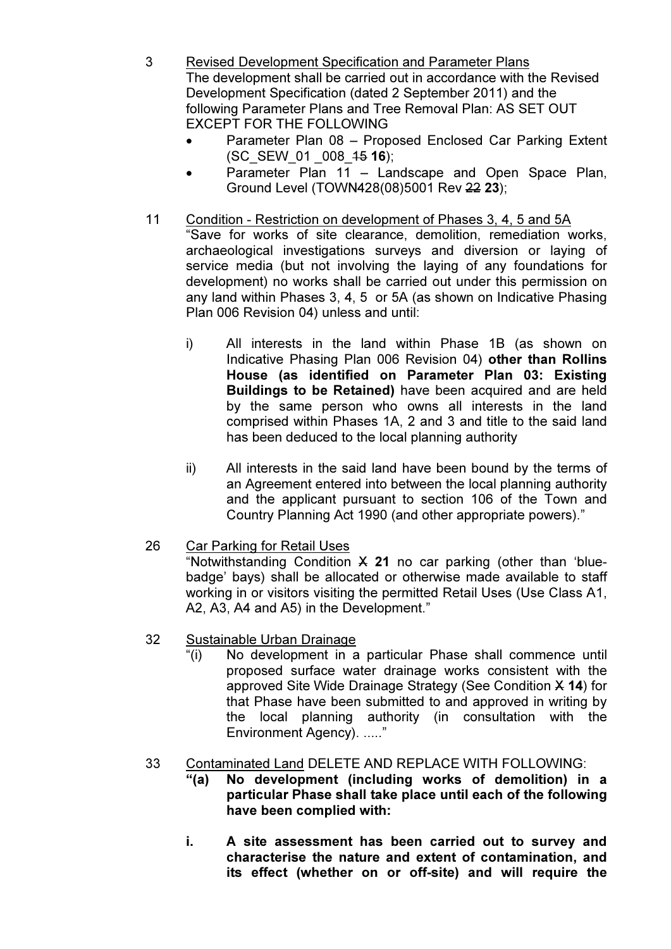- 3 Revised Development Specification and Parameter Plans The development shall be carried out in accordance with the Revised Development Specification (dated 2 September 2011) and the following Parameter Plans and Tree Removal Plan: AS SET OUT EXCEPT FOR THE FOLLOWING
	- Parameter Plan 08 Proposed Enclosed Car Parking Extent (SC\_SEW\_01 \_008\_15 16);
	- Parameter Plan 11 Landscape and Open Space Plan, Ground Level (TOWN428(08)5001 Rev 22 23);
- 11 Condition Restriction on development of Phases 3, 4, 5 and 5A "Save for works of site clearance, demolition, remediation works, archaeological investigations surveys and diversion or laying of service media (but not involving the laying of any foundations for development) no works shall be carried out under this permission on any land within Phases 3, 4, 5 or 5A (as shown on Indicative Phasing Plan 006 Revision 04) unless and until:
	- i) All interests in the land within Phase 1B (as shown on Indicative Phasing Plan 006 Revision 04) other than Rollins House (as identified on Parameter Plan 03: Existing Buildings to be Retained) have been acquired and are held by the same person who owns all interests in the land comprised within Phases 1A, 2 and 3 and title to the said land has been deduced to the local planning authority
	- ii) All interests in the said land have been bound by the terms of an Agreement entered into between the local planning authority and the applicant pursuant to section 106 of the Town and Country Planning Act 1990 (and other appropriate powers)."

# 26 Car Parking for Retail Uses

"Notwithstanding Condition  $X$  21 no car parking (other than 'bluebadge' bays) shall be allocated or otherwise made available to staff working in or visitors visiting the permitted Retail Uses (Use Class A1, A2, A3, A4 and A5) in the Development."

# 32 Sustainable Urban Drainage

 "(i) No development in a particular Phase shall commence until proposed surface water drainage works consistent with the approved Site Wide Drainage Strategy (See Condition X 14) for that Phase have been submitted to and approved in writing by the local planning authority (in consultation with the Environment Agency). ....."

# 33 Contaminated Land DELETE AND REPLACE WITH FOLLOWING:

- "(a) No development (including works of demolition) in a particular Phase shall take place until each of the following have been complied with:
- i. A site assessment has been carried out to survey and characterise the nature and extent of contamination, and its effect (whether on or off-site) and will require the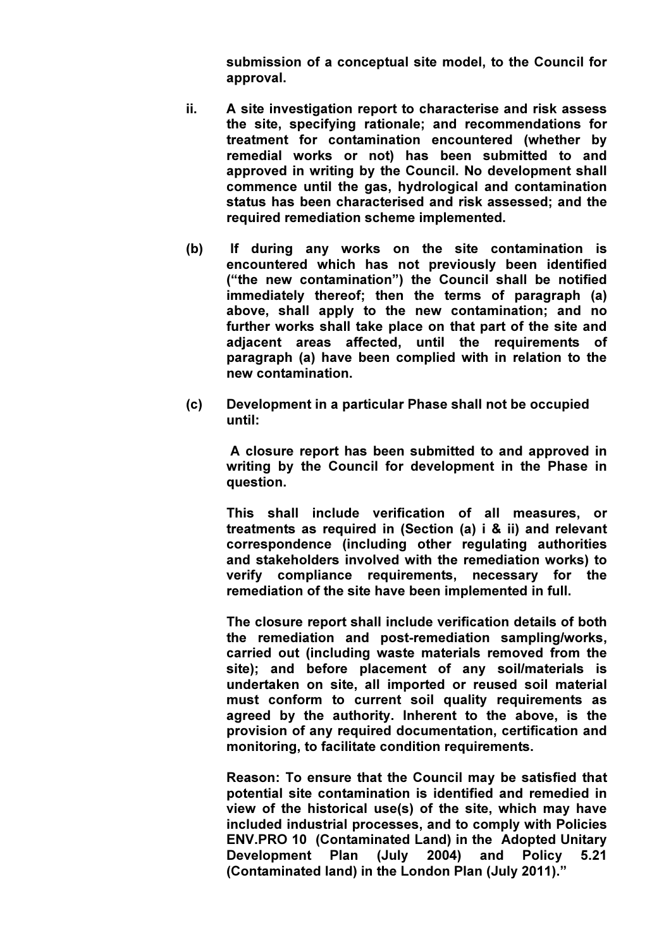submission of a conceptual site model, to the Council for approval.

- ii. A site investigation report to characterise and risk assess the site, specifying rationale; and recommendations for treatment for contamination encountered (whether by remedial works or not) has been submitted to and approved in writing by the Council. No development shall commence until the gas, hydrological and contamination status has been characterised and risk assessed; and the required remediation scheme implemented.
- (b) If during any works on the site contamination is encountered which has not previously been identified ("the new contamination") the Council shall be notified immediately thereof; then the terms of paragraph (a) above, shall apply to the new contamination; and no further works shall take place on that part of the site and adjacent areas affected, until the requirements of paragraph (a) have been complied with in relation to the new contamination.
- (c) Development in a particular Phase shall not be occupied until:

 A closure report has been submitted to and approved in writing by the Council for development in the Phase in question.

This shall include verification of all measures, or treatments as required in (Section (a) i & ii) and relevant correspondence (including other regulating authorities and stakeholders involved with the remediation works) to verify compliance requirements, necessary for the remediation of the site have been implemented in full.

The closure report shall include verification details of both the remediation and post-remediation sampling/works, carried out (including waste materials removed from the site); and before placement of any soil/materials is undertaken on site, all imported or reused soil material must conform to current soil quality requirements as agreed by the authority. Inherent to the above, is the provision of any required documentation, certification and monitoring, to facilitate condition requirements.

Reason: To ensure that the Council may be satisfied that potential site contamination is identified and remedied in view of the historical use(s) of the site, which may have included industrial processes, and to comply with Policies ENV.PRO 10 (Contaminated Land) in the Adopted Unitary Development Plan (July 2004) and Policy 5.21 (Contaminated land) in the London Plan (July 2011)."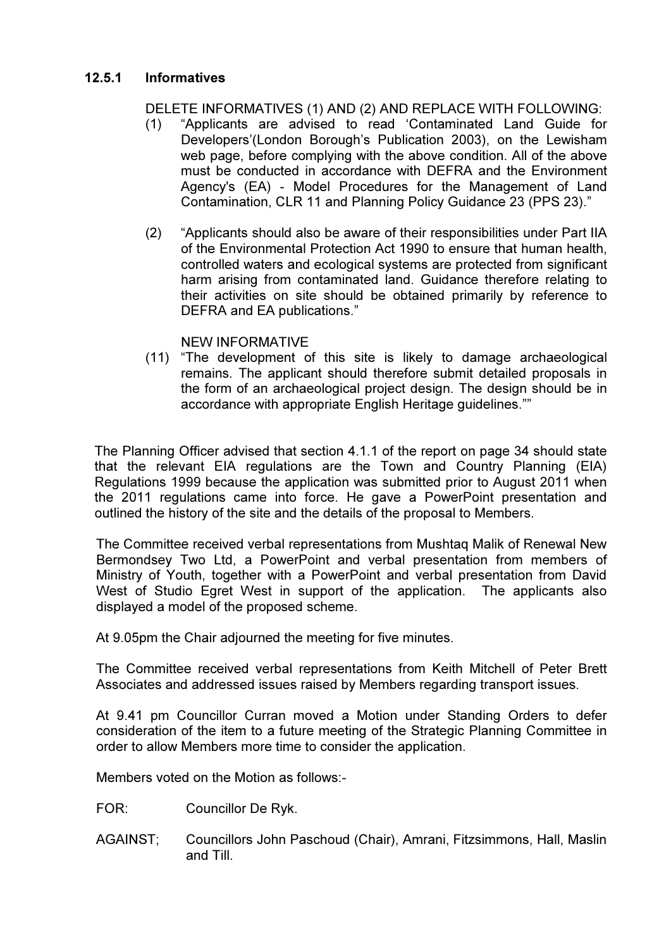### 12.5.1 Informatives

### DELETE INFORMATIVES (1) AND (2) AND REPLACE WITH FOLLOWING:

- (1) "Applicants are advised to read 'Contaminated Land Guide for Developers'(London Borough's Publication 2003), on the Lewisham web page, before complying with the above condition. All of the above must be conducted in accordance with DEFRA and the Environment Agency's (EA) - Model Procedures for the Management of Land Contamination, CLR 11 and Planning Policy Guidance 23 (PPS 23)."
- (2) "Applicants should also be aware of their responsibilities under Part IIA of the Environmental Protection Act 1990 to ensure that human health, controlled waters and ecological systems are protected from significant harm arising from contaminated land. Guidance therefore relating to their activities on site should be obtained primarily by reference to DEFRA and EA publications."

#### NEW INFORMATIVE

(11) "The development of this site is likely to damage archaeological remains. The applicant should therefore submit detailed proposals in the form of an archaeological project design. The design should be in accordance with appropriate English Heritage guidelines.""

The Planning Officer advised that section 4.1.1 of the report on page 34 should state that the relevant EIA regulations are the Town and Country Planning (EIA) Regulations 1999 because the application was submitted prior to August 2011 when the 2011 regulations came into force. He gave a PowerPoint presentation and outlined the history of the site and the details of the proposal to Members.

The Committee received verbal representations from Mushtaq Malik of Renewal New Bermondsey Two Ltd, a PowerPoint and verbal presentation from members of Ministry of Youth, together with a PowerPoint and verbal presentation from David West of Studio Egret West in support of the application. The applicants also displayed a model of the proposed scheme.

At 9.05pm the Chair adjourned the meeting for five minutes.

The Committee received verbal representations from Keith Mitchell of Peter Brett Associates and addressed issues raised by Members regarding transport issues.

At 9.41 pm Councillor Curran moved a Motion under Standing Orders to defer consideration of the item to a future meeting of the Strategic Planning Committee in order to allow Members more time to consider the application.

Members voted on the Motion as follows:-

- FOR: Councillor De Ryk.
- AGAINST; Councillors John Paschoud (Chair), Amrani, Fitzsimmons, Hall, Maslin and Till.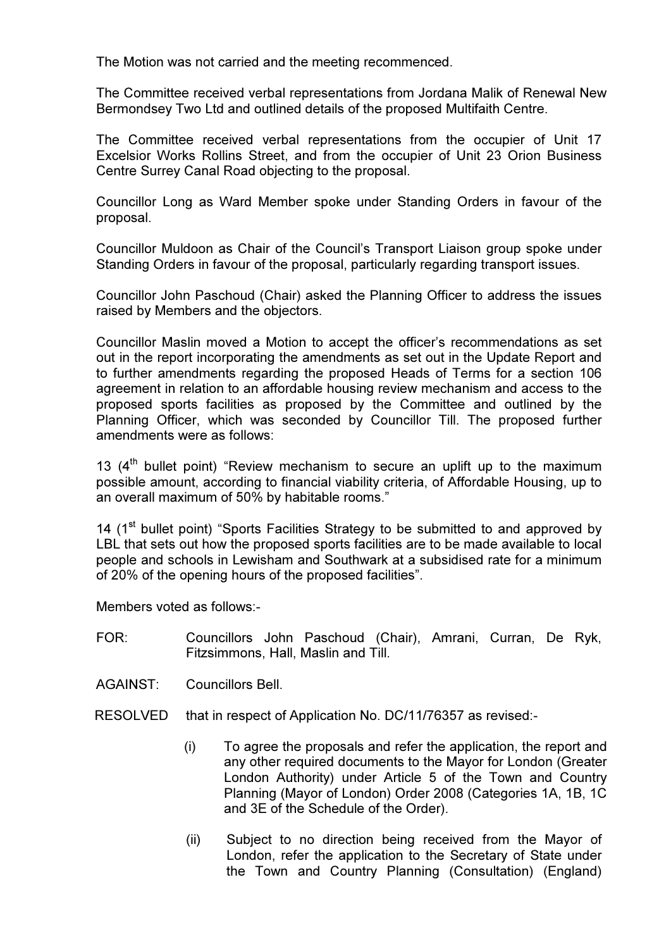The Motion was not carried and the meeting recommenced.

The Committee received verbal representations from Jordana Malik of Renewal New Bermondsey Two Ltd and outlined details of the proposed Multifaith Centre.

The Committee received verbal representations from the occupier of Unit 17 Excelsior Works Rollins Street, and from the occupier of Unit 23 Orion Business Centre Surrey Canal Road objecting to the proposal.

Councillor Long as Ward Member spoke under Standing Orders in favour of the proposal.

Councillor Muldoon as Chair of the Council's Transport Liaison group spoke under Standing Orders in favour of the proposal, particularly regarding transport issues.

Councillor John Paschoud (Chair) asked the Planning Officer to address the issues raised by Members and the objectors.

Councillor Maslin moved a Motion to accept the officer's recommendations as set out in the report incorporating the amendments as set out in the Update Report and to further amendments regarding the proposed Heads of Terms for a section 106 agreement in relation to an affordable housing review mechanism and access to the proposed sports facilities as proposed by the Committee and outlined by the Planning Officer, which was seconded by Councillor Till. The proposed further amendments were as follows:

13  $(4<sup>th</sup>$  bullet point) "Review mechanism to secure an uplift up to the maximum possible amount, according to financial viability criteria, of Affordable Housing, up to an overall maximum of 50% by habitable rooms."

14 (1<sup>st</sup> bullet point) "Sports Facilities Strategy to be submitted to and approved by LBL that sets out how the proposed sports facilities are to be made available to local people and schools in Lewisham and Southwark at a subsidised rate for a minimum of 20% of the opening hours of the proposed facilities".

Members voted as follows:-

FOR: Councillors John Paschoud (Chair), Amrani, Curran, De Ryk, Fitzsimmons, Hall, Maslin and Till.

AGAINST: Councillors Bell.

- RESOLVED that in respect of Application No. DC/11/76357 as revised:-
	- (i) To agree the proposals and refer the application, the report and any other required documents to the Mayor for London (Greater London Authority) under Article 5 of the Town and Country Planning (Mayor of London) Order 2008 (Categories 1A, 1B, 1C and 3E of the Schedule of the Order).
	- (ii) Subject to no direction being received from the Mayor of London, refer the application to the Secretary of State under the Town and Country Planning (Consultation) (England)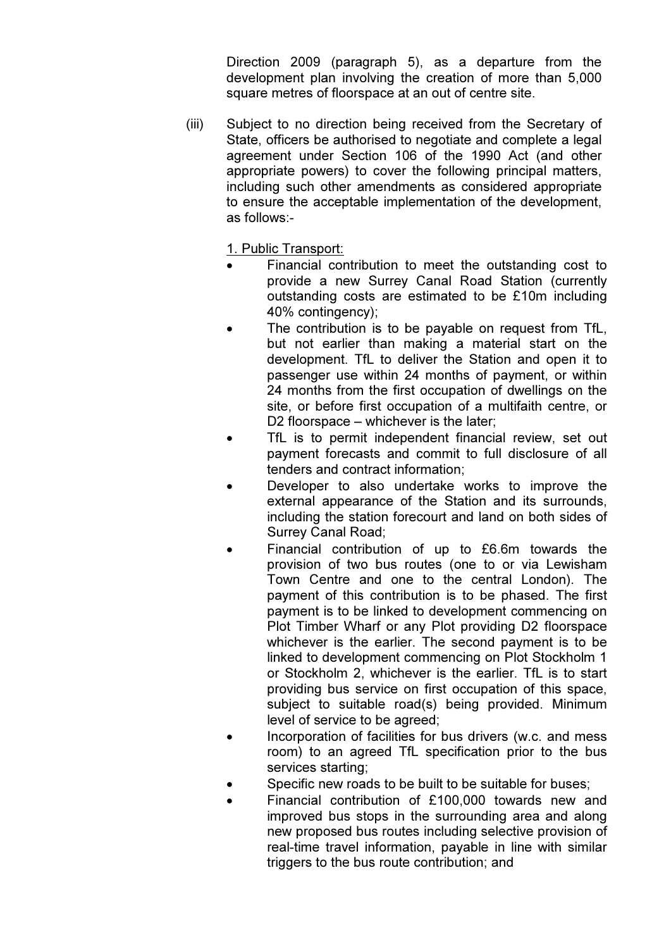Direction 2009 (paragraph 5), as a departure from the development plan involving the creation of more than 5,000 square metres of floorspace at an out of centre site.

(iii) Subject to no direction being received from the Secretary of State, officers be authorised to negotiate and complete a legal agreement under Section 106 of the 1990 Act (and other appropriate powers) to cover the following principal matters, including such other amendments as considered appropriate to ensure the acceptable implementation of the development, as follows:-

1. Public Transport:

- Financial contribution to meet the outstanding cost to provide a new Surrey Canal Road Station (currently outstanding costs are estimated to be £10m including 40% contingency);
- The contribution is to be payable on request from TfL. but not earlier than making a material start on the development. TfL to deliver the Station and open it to passenger use within 24 months of payment, or within 24 months from the first occupation of dwellings on the site, or before first occupation of a multifaith centre, or D<sub>2</sub> floorspace – whichever is the later:
- TfL is to permit independent financial review, set out payment forecasts and commit to full disclosure of all tenders and contract information;
- Developer to also undertake works to improve the external appearance of the Station and its surrounds, including the station forecourt and land on both sides of Surrey Canal Road;
- Financial contribution of up to £6.6m towards the provision of two bus routes (one to or via Lewisham Town Centre and one to the central London). The payment of this contribution is to be phased. The first payment is to be linked to development commencing on Plot Timber Wharf or any Plot providing D2 floorspace whichever is the earlier. The second payment is to be linked to development commencing on Plot Stockholm 1 or Stockholm 2, whichever is the earlier. TfL is to start providing bus service on first occupation of this space, subject to suitable road(s) being provided. Minimum level of service to be agreed;
- Incorporation of facilities for bus drivers (w.c. and mess room) to an agreed TfL specification prior to the bus services starting;
- Specific new roads to be built to be suitable for buses:
- Financial contribution of £100,000 towards new and improved bus stops in the surrounding area and along new proposed bus routes including selective provision of real-time travel information, payable in line with similar triggers to the bus route contribution; and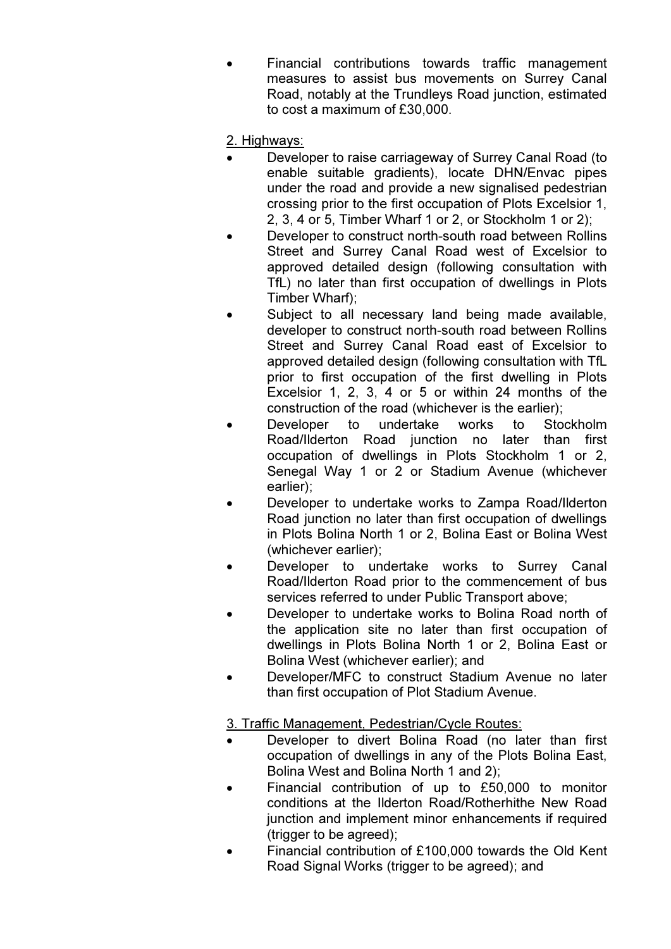• Financial contributions towards traffic management measures to assist bus movements on Surrey Canal Road, notably at the Trundleys Road junction, estimated to cost a maximum of £30,000.

### 2. Highways:

- Developer to raise carriageway of Surrey Canal Road (to enable suitable gradients), locate DHN/Envac pipes under the road and provide a new signalised pedestrian crossing prior to the first occupation of Plots Excelsior 1, 2, 3, 4 or 5, Timber Wharf 1 or 2, or Stockholm 1 or 2);
- Developer to construct north-south road between Rollins Street and Surrey Canal Road west of Excelsior to approved detailed design (following consultation with TfL) no later than first occupation of dwellings in Plots Timber Wharf);
- Subject to all necessary land being made available, developer to construct north-south road between Rollins Street and Surrey Canal Road east of Excelsior to approved detailed design (following consultation with TfL prior to first occupation of the first dwelling in Plots Excelsior 1, 2, 3, 4 or 5 or within 24 months of the construction of the road (whichever is the earlier);
- Developer to undertake works to Stockholm Road/Ilderton Road junction no later than first occupation of dwellings in Plots Stockholm 1 or 2, Senegal Way 1 or 2 or Stadium Avenue (whichever earlier);
- Developer to undertake works to Zampa Road/Ilderton Road junction no later than first occupation of dwellings in Plots Bolina North 1 or 2, Bolina East or Bolina West (whichever earlier);
- Developer to undertake works to Surrey Canal Road/Ilderton Road prior to the commencement of bus services referred to under Public Transport above;
- Developer to undertake works to Bolina Road north of the application site no later than first occupation of dwellings in Plots Bolina North 1 or 2, Bolina East or Bolina West (whichever earlier); and
- Developer/MFC to construct Stadium Avenue no later than first occupation of Plot Stadium Avenue.

#### 3. Traffic Management, Pedestrian/Cycle Routes:

- Developer to divert Bolina Road (no later than first occupation of dwellings in any of the Plots Bolina East, Bolina West and Bolina North 1 and 2);
- Financial contribution of up to £50,000 to monitor conditions at the Ilderton Road/Rotherhithe New Road junction and implement minor enhancements if required (trigger to be agreed);
- Financial contribution of £100,000 towards the Old Kent Road Signal Works (trigger to be agreed); and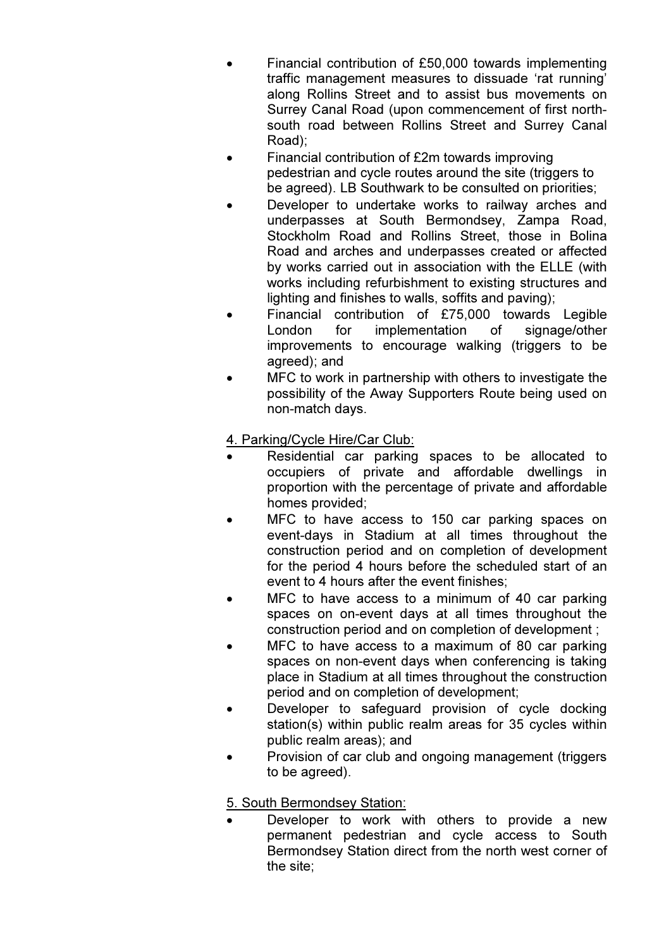- Financial contribution of £50,000 towards implementing traffic management measures to dissuade 'rat running' along Rollins Street and to assist bus movements on Surrey Canal Road (upon commencement of first northsouth road between Rollins Street and Surrey Canal Road);
- Financial contribution of £2m towards improving pedestrian and cycle routes around the site (triggers to be agreed). LB Southwark to be consulted on priorities;
- Developer to undertake works to railway arches and underpasses at South Bermondsey, Zampa Road, Stockholm Road and Rollins Street, those in Bolina Road and arches and underpasses created or affected by works carried out in association with the ELLE (with works including refurbishment to existing structures and lighting and finishes to walls, soffits and paving);
- Financial contribution of £75,000 towards Legible London for implementation of signage/other improvements to encourage walking (triggers to be agreed); and
- MFC to work in partnership with others to investigate the possibility of the Away Supporters Route being used on non-match days.

4. Parking/Cycle Hire/Car Club:

- Residential car parking spaces to be allocated to occupiers of private and affordable dwellings in proportion with the percentage of private and affordable homes provided;
- MFC to have access to 150 car parking spaces on event-days in Stadium at all times throughout the construction period and on completion of development for the period 4 hours before the scheduled start of an event to 4 hours after the event finishes;
- MFC to have access to a minimum of 40 car parking spaces on on-event days at all times throughout the construction period and on completion of development ;
- MFC to have access to a maximum of 80 car parking spaces on non-event days when conferencing is taking place in Stadium at all times throughout the construction period and on completion of development;
- Developer to safeguard provision of cycle docking station(s) within public realm areas for 35 cycles within public realm areas); and
- Provision of car club and ongoing management (triggers to be agreed).

5. South Bermondsey Station:

Developer to work with others to provide a new permanent pedestrian and cycle access to South Bermondsey Station direct from the north west corner of the site;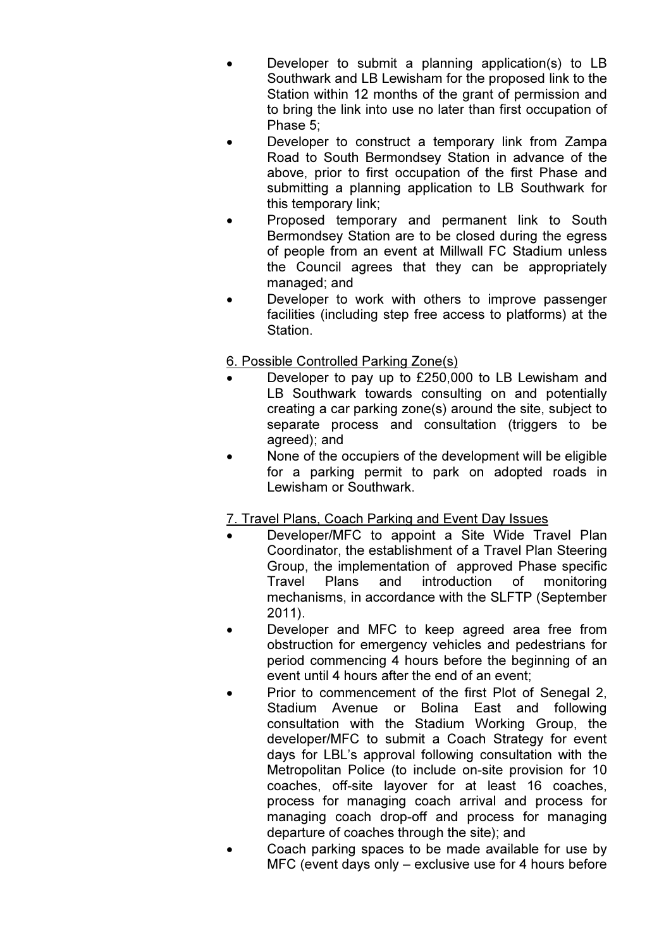- Developer to submit a planning application(s) to LB Southwark and LB Lewisham for the proposed link to the Station within 12 months of the grant of permission and to bring the link into use no later than first occupation of Phase 5;
- Developer to construct a temporary link from Zampa Road to South Bermondsey Station in advance of the above, prior to first occupation of the first Phase and submitting a planning application to LB Southwark for this temporary link;
- Proposed temporary and permanent link to South Bermondsey Station are to be closed during the egress of people from an event at Millwall FC Stadium unless the Council agrees that they can be appropriately managed; and
- Developer to work with others to improve passenger facilities (including step free access to platforms) at the Station.

6. Possible Controlled Parking Zone(s)

- Developer to pay up to £250,000 to LB Lewisham and LB Southwark towards consulting on and potentially creating a car parking zone(s) around the site, subject to separate process and consultation (triggers to be agreed); and
- None of the occupiers of the development will be eligible for a parking permit to park on adopted roads in Lewisham or Southwark.

# 7. Travel Plans, Coach Parking and Event Day Issues

- Developer/MFC to appoint a Site Wide Travel Plan Coordinator, the establishment of a Travel Plan Steering Group, the implementation of approved Phase specific Travel Plans and introduction of monitoring mechanisms, in accordance with the SLFTP (September 2011).
- Developer and MFC to keep agreed area free from obstruction for emergency vehicles and pedestrians for period commencing 4 hours before the beginning of an event until 4 hours after the end of an event;
- Prior to commencement of the first Plot of Senegal 2, Stadium Avenue or Bolina East and following consultation with the Stadium Working Group, the developer/MFC to submit a Coach Strategy for event days for LBL's approval following consultation with the Metropolitan Police (to include on-site provision for 10 coaches, off-site layover for at least 16 coaches, process for managing coach arrival and process for managing coach drop-off and process for managing departure of coaches through the site); and
- Coach parking spaces to be made available for use by MFC (event days only – exclusive use for 4 hours before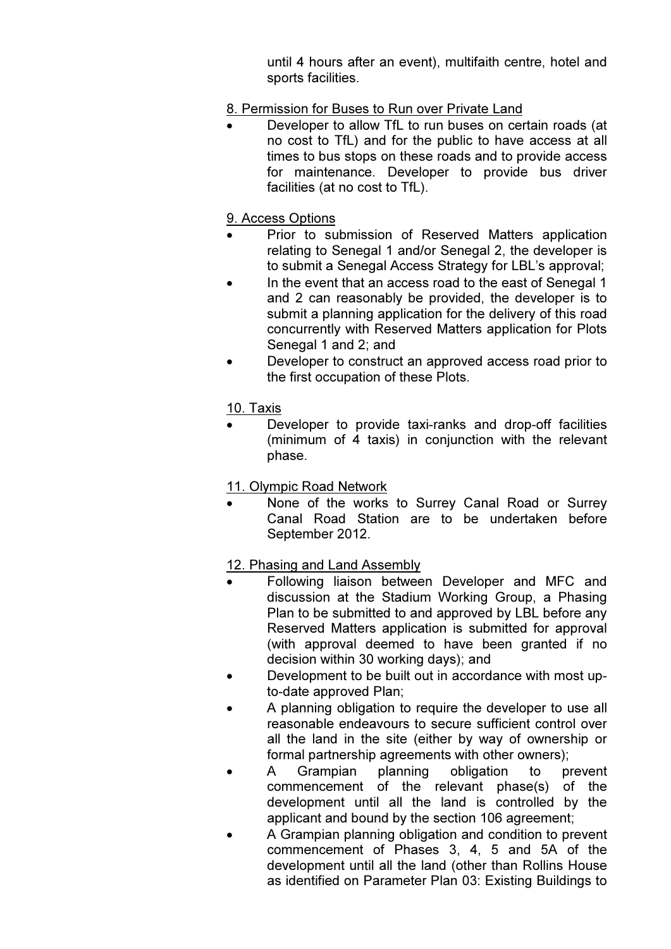until 4 hours after an event), multifaith centre, hotel and sports facilities.

### 8. Permission for Buses to Run over Private Land

• Developer to allow TfL to run buses on certain roads (at no cost to TfL) and for the public to have access at all times to bus stops on these roads and to provide access for maintenance. Developer to provide bus driver facilities (at no cost to TfL).

#### 9. Access Options

- Prior to submission of Reserved Matters application relating to Senegal 1 and/or Senegal 2, the developer is to submit a Senegal Access Strategy for LBL's approval;
- In the event that an access road to the east of Senegal 1 and 2 can reasonably be provided, the developer is to submit a planning application for the delivery of this road concurrently with Reserved Matters application for Plots Senegal 1 and 2; and
- Developer to construct an approved access road prior to the first occupation of these Plots.

### 10. Taxis

• Developer to provide taxi-ranks and drop-off facilities (minimum of 4 taxis) in conjunction with the relevant phase.

#### 11. Olympic Road Network

None of the works to Surrey Canal Road or Surrey Canal Road Station are to be undertaken before September 2012.

#### 12. Phasing and Land Assembly

- Following liaison between Developer and MFC and discussion at the Stadium Working Group, a Phasing Plan to be submitted to and approved by LBL before any Reserved Matters application is submitted for approval (with approval deemed to have been granted if no decision within 30 working days); and
- Development to be built out in accordance with most upto-date approved Plan;
- A planning obligation to require the developer to use all reasonable endeavours to secure sufficient control over all the land in the site (either by way of ownership or formal partnership agreements with other owners);
- A Grampian planning obligation to prevent commencement of the relevant phase(s) of the development until all the land is controlled by the applicant and bound by the section 106 agreement;
- A Grampian planning obligation and condition to prevent commencement of Phases 3, 4, 5 and 5A of the development until all the land (other than Rollins House as identified on Parameter Plan 03: Existing Buildings to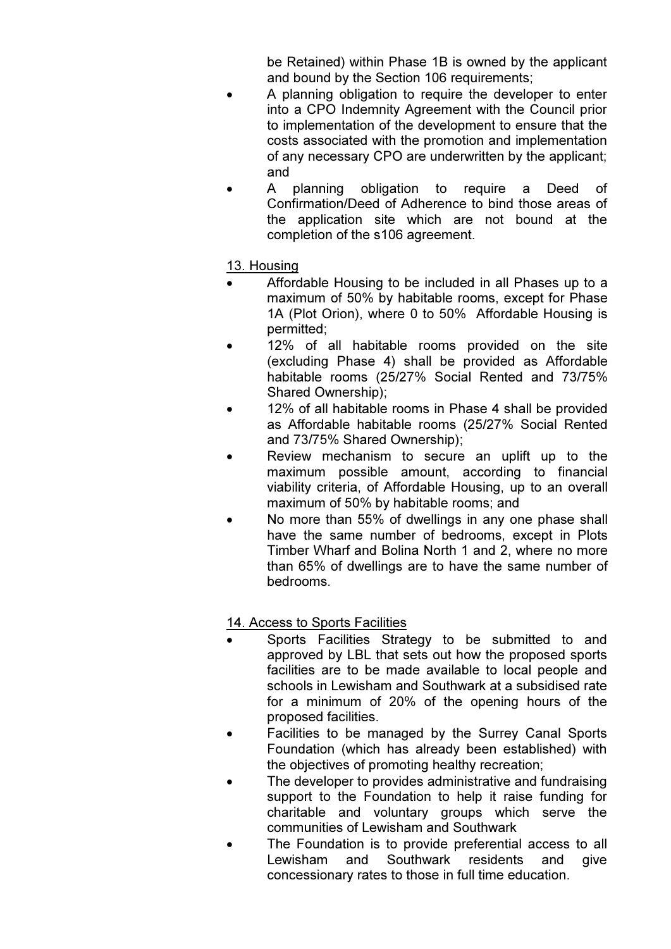be Retained) within Phase 1B is owned by the applicant and bound by the Section 106 requirements;

- A planning obligation to require the developer to enter into a CPO Indemnity Agreement with the Council prior to implementation of the development to ensure that the costs associated with the promotion and implementation of any necessary CPO are underwritten by the applicant; and
- A planning obligation to require a Deed of Confirmation/Deed of Adherence to bind those areas of the application site which are not bound at the completion of the s106 agreement.

# 13. Housing

- Affordable Housing to be included in all Phases up to a maximum of 50% by habitable rooms, except for Phase 1A (Plot Orion), where 0 to 50% Affordable Housing is permitted;
- 12% of all habitable rooms provided on the site (excluding Phase 4) shall be provided as Affordable habitable rooms (25/27% Social Rented and 73/75% Shared Ownership);
- 12% of all habitable rooms in Phase 4 shall be provided as Affordable habitable rooms (25/27% Social Rented and 73/75% Shared Ownership);
- Review mechanism to secure an uplift up to the maximum possible amount, according to financial viability criteria, of Affordable Housing, up to an overall maximum of 50% by habitable rooms; and
- No more than 55% of dwellings in any one phase shall have the same number of bedrooms, except in Plots Timber Wharf and Bolina North 1 and 2, where no more than 65% of dwellings are to have the same number of bedrooms.

# 14. Access to Sports Facilities

- Sports Facilities Strategy to be submitted to and approved by LBL that sets out how the proposed sports facilities are to be made available to local people and schools in Lewisham and Southwark at a subsidised rate for a minimum of 20% of the opening hours of the proposed facilities.
- Facilities to be managed by the Surrey Canal Sports Foundation (which has already been established) with the objectives of promoting healthy recreation;
- The developer to provides administrative and fundraising support to the Foundation to help it raise funding for charitable and voluntary groups which serve the communities of Lewisham and Southwark
- The Foundation is to provide preferential access to all Lewisham and Southwark residents and give concessionary rates to those in full time education.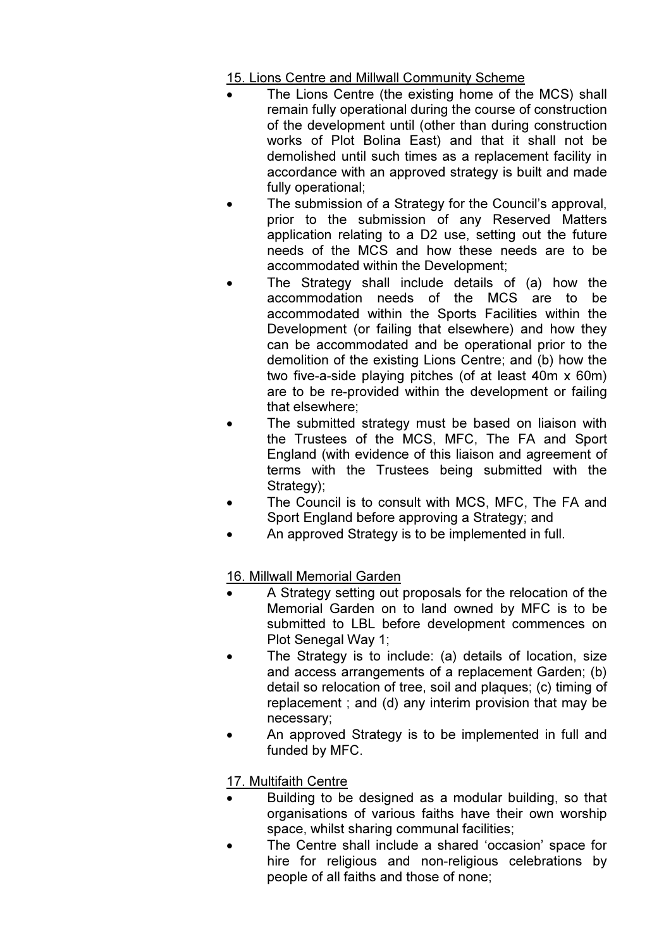15. Lions Centre and Millwall Community Scheme

- The Lions Centre (the existing home of the MCS) shall remain fully operational during the course of construction of the development until (other than during construction works of Plot Bolina East) and that it shall not be demolished until such times as a replacement facility in accordance with an approved strategy is built and made fully operational;
- The submission of a Strategy for the Council's approval, prior to the submission of any Reserved Matters application relating to a D2 use, setting out the future needs of the MCS and how these needs are to be accommodated within the Development;
- The Strategy shall include details of (a) how the accommodation needs of the MCS are to be accommodated within the Sports Facilities within the Development (or failing that elsewhere) and how they can be accommodated and be operational prior to the demolition of the existing Lions Centre; and (b) how the two five-a-side playing pitches (of at least 40m x 60m) are to be re-provided within the development or failing that elsewhere;
- The submitted strategy must be based on liaison with the Trustees of the MCS, MFC, The FA and Sport England (with evidence of this liaison and agreement of terms with the Trustees being submitted with the Strategy);
- The Council is to consult with MCS, MFC, The FA and Sport England before approving a Strategy; and
- An approved Strategy is to be implemented in full.

16. Millwall Memorial Garden

- A Strategy setting out proposals for the relocation of the Memorial Garden on to land owned by MFC is to be submitted to LBL before development commences on Plot Senegal Way 1;
- The Strategy is to include: (a) details of location, size and access arrangements of a replacement Garden; (b) detail so relocation of tree, soil and plaques; (c) timing of replacement ; and (d) any interim provision that may be necessary;
- An approved Strategy is to be implemented in full and funded by MFC.

17. Multifaith Centre

- Building to be designed as a modular building, so that organisations of various faiths have their own worship space, whilst sharing communal facilities;
- The Centre shall include a shared 'occasion' space for hire for religious and non-religious celebrations by people of all faiths and those of none;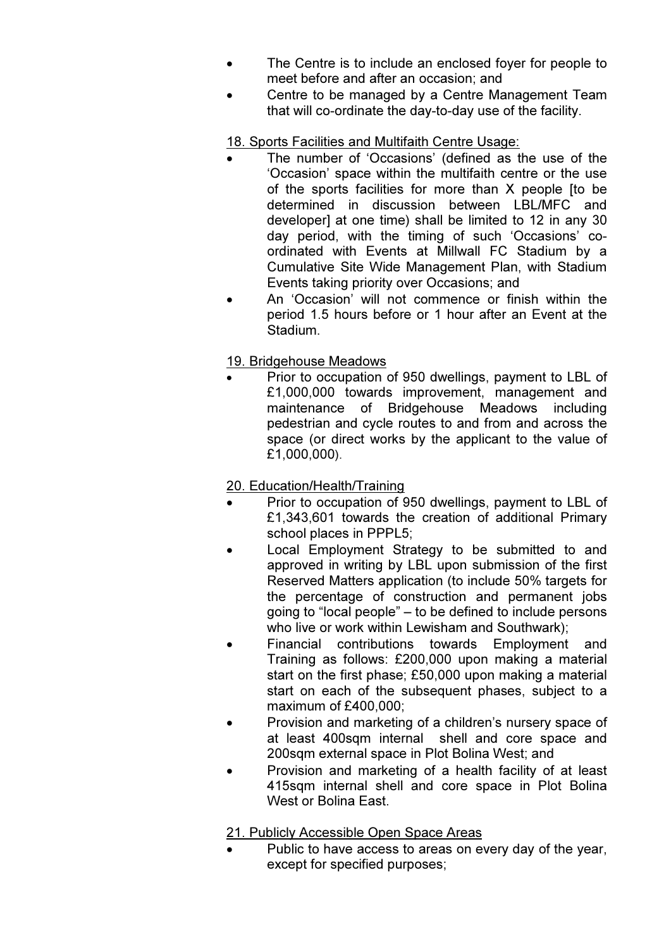- The Centre is to include an enclosed foyer for people to meet before and after an occasion; and
- Centre to be managed by a Centre Management Team that will co-ordinate the day-to-day use of the facility.

# 18. Sports Facilities and Multifaith Centre Usage:

- The number of 'Occasions' (defined as the use of the 'Occasion' space within the multifaith centre or the use of the sports facilities for more than X people [to be determined in discussion between LBL/MFC and developer] at one time) shall be limited to 12 in any 30 day period, with the timing of such 'Occasions' coordinated with Events at Millwall FC Stadium by a Cumulative Site Wide Management Plan, with Stadium Events taking priority over Occasions; and
- An 'Occasion' will not commence or finish within the period 1.5 hours before or 1 hour after an Event at the Stadium.

# 19. Bridgehouse Meadows

• Prior to occupation of 950 dwellings, payment to LBL of £1,000,000 towards improvement, management and maintenance of Bridgehouse Meadows including pedestrian and cycle routes to and from and across the space (or direct works by the applicant to the value of £1,000,000).

# 20. Education/Health/Training

- Prior to occupation of 950 dwellings, payment to LBL of £1,343,601 towards the creation of additional Primary school places in PPPL5;
- Local Employment Strategy to be submitted to and approved in writing by LBL upon submission of the first Reserved Matters application (to include 50% targets for the percentage of construction and permanent jobs going to "local people" – to be defined to include persons who live or work within Lewisham and Southwark);
- Financial contributions towards Employment and Training as follows: £200,000 upon making a material start on the first phase; £50,000 upon making a material start on each of the subsequent phases, subject to a maximum of £400,000;
- Provision and marketing of a children's nursery space of at least 400sqm internal shell and core space and 200sqm external space in Plot Bolina West; and
- Provision and marketing of a health facility of at least 415sqm internal shell and core space in Plot Bolina West or Bolina Fast.

# 21. Publicly Accessible Open Space Areas

Public to have access to areas on every day of the year, except for specified purposes;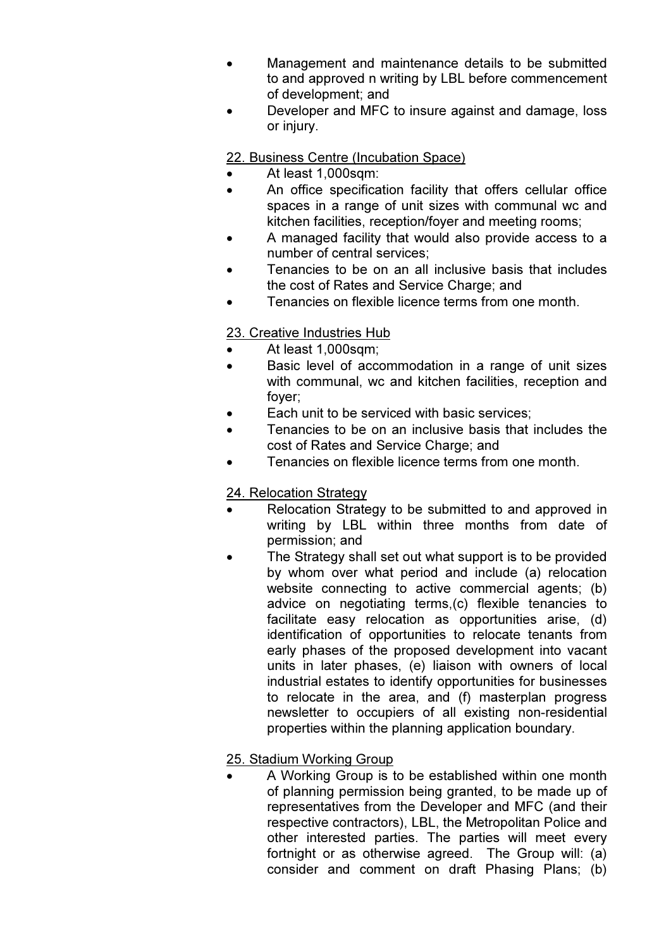- Management and maintenance details to be submitted to and approved n writing by LBL before commencement of development; and
- Developer and MFC to insure against and damage, loss or injury.

22. Business Centre (Incubation Space)

- At least 1,000sqm:
- An office specification facility that offers cellular office spaces in a range of unit sizes with communal wc and kitchen facilities, reception/foyer and meeting rooms;
- A managed facility that would also provide access to a number of central services;
- Tenancies to be on an all inclusive basis that includes the cost of Rates and Service Charge; and
- Tenancies on flexible licence terms from one month.

# 23. Creative Industries Hub

- At least 1,000sqm;
- Basic level of accommodation in a range of unit sizes with communal, wc and kitchen facilities, reception and foyer;
- Each unit to be serviced with basic services:
- Tenancies to be on an inclusive basis that includes the cost of Rates and Service Charge; and
- Tenancies on flexible licence terms from one month.

# 24. Relocation Strategy

- Relocation Strategy to be submitted to and approved in writing by LBL within three months from date of permission; and
- The Strategy shall set out what support is to be provided by whom over what period and include (a) relocation website connecting to active commercial agents; (b) advice on negotiating terms,(c) flexible tenancies to facilitate easy relocation as opportunities arise, (d) identification of opportunities to relocate tenants from early phases of the proposed development into vacant units in later phases, (e) liaison with owners of local industrial estates to identify opportunities for businesses to relocate in the area, and (f) masterplan progress newsletter to occupiers of all existing non-residential properties within the planning application boundary.

# 25. Stadium Working Group

• A Working Group is to be established within one month of planning permission being granted, to be made up of representatives from the Developer and MFC (and their respective contractors), LBL, the Metropolitan Police and other interested parties. The parties will meet every fortnight or as otherwise agreed. The Group will: (a) consider and comment on draft Phasing Plans; (b)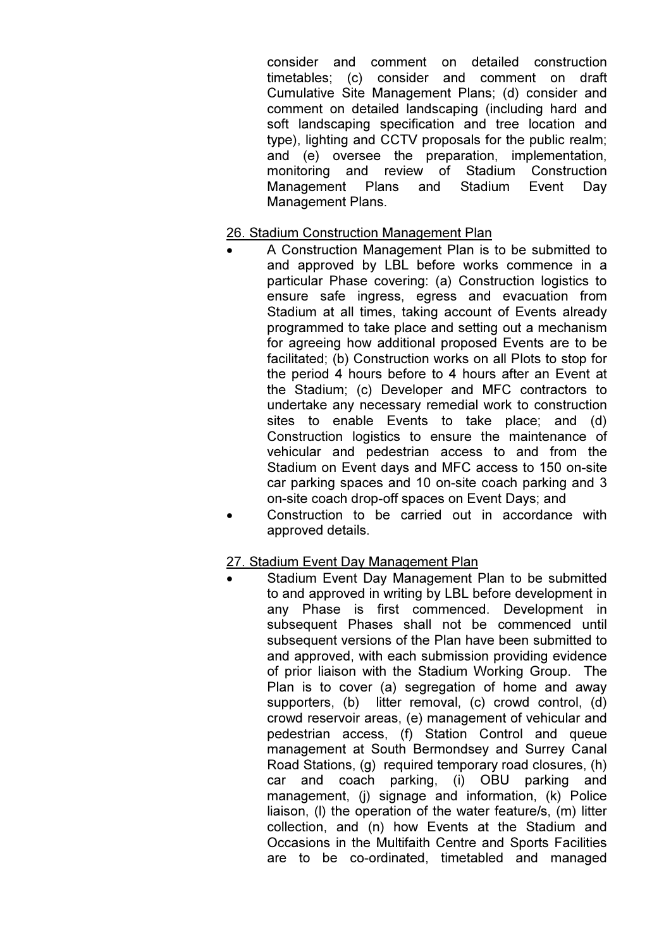consider and comment on detailed construction timetables; (c) consider and comment on draft Cumulative Site Management Plans; (d) consider and comment on detailed landscaping (including hard and soft landscaping specification and tree location and type), lighting and CCTV proposals for the public realm; and (e) oversee the preparation, implementation, monitoring and review of Stadium Construction Management Plans and Stadium Event Day Management Plans.

#### 26. Stadium Construction Management Plan

- A Construction Management Plan is to be submitted to and approved by LBL before works commence in a particular Phase covering: (a) Construction logistics to ensure safe ingress, egress and evacuation from Stadium at all times, taking account of Events already programmed to take place and setting out a mechanism for agreeing how additional proposed Events are to be facilitated; (b) Construction works on all Plots to stop for the period 4 hours before to 4 hours after an Event at the Stadium; (c) Developer and MFC contractors to undertake any necessary remedial work to construction sites to enable Events to take place; and (d) Construction logistics to ensure the maintenance of vehicular and pedestrian access to and from the Stadium on Event days and MFC access to 150 on-site car parking spaces and 10 on-site coach parking and 3 on-site coach drop-off spaces on Event Days; and
- Construction to be carried out in accordance with approved details.

#### 27. Stadium Event Day Management Plan

Stadium Event Day Management Plan to be submitted to and approved in writing by LBL before development in any Phase is first commenced. Development in subsequent Phases shall not be commenced until subsequent versions of the Plan have been submitted to and approved, with each submission providing evidence of prior liaison with the Stadium Working Group. The Plan is to cover (a) segregation of home and away supporters, (b) litter removal, (c) crowd control, (d) crowd reservoir areas, (e) management of vehicular and pedestrian access, (f) Station Control and queue management at South Bermondsey and Surrey Canal Road Stations, (g) required temporary road closures, (h) car and coach parking, (i) OBU parking and management, (i) signage and information, (k) Police liaison, (l) the operation of the water feature/s, (m) litter collection, and (n) how Events at the Stadium and Occasions in the Multifaith Centre and Sports Facilities are to be co-ordinated, timetabled and managed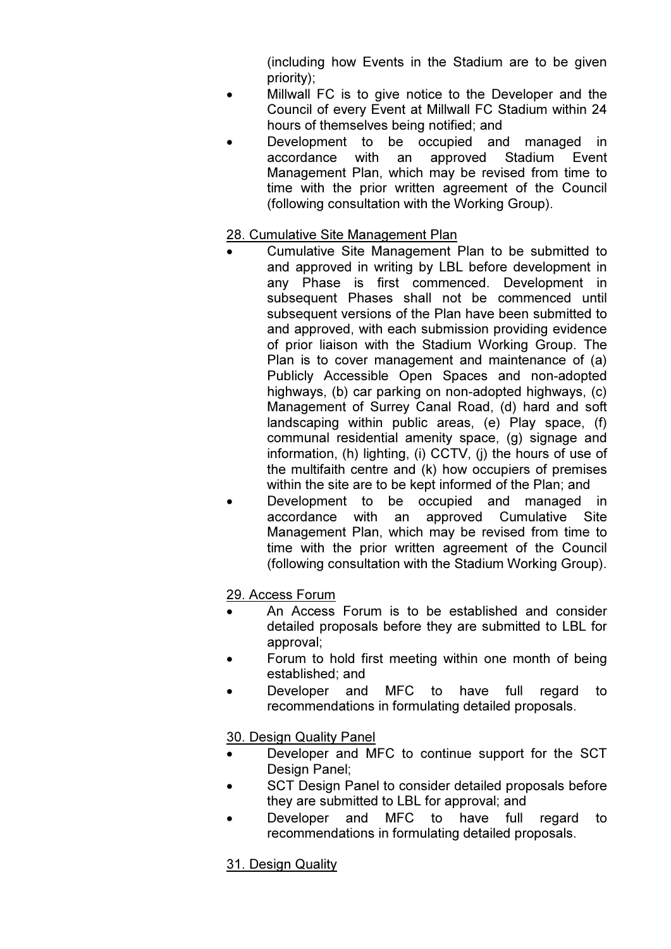(including how Events in the Stadium are to be given priority);

- Millwall FC is to give notice to the Developer and the Council of every Event at Millwall FC Stadium within 24 hours of themselves being notified; and
- Development to be occupied and managed in accordance with an approved Stadium Event Management Plan, which may be revised from time to time with the prior written agreement of the Council (following consultation with the Working Group).

#### 28. Cumulative Site Management Plan

- Cumulative Site Management Plan to be submitted to and approved in writing by LBL before development in any Phase is first commenced. Development in subsequent Phases shall not be commenced until subsequent versions of the Plan have been submitted to and approved, with each submission providing evidence of prior liaison with the Stadium Working Group. The Plan is to cover management and maintenance of (a) Publicly Accessible Open Spaces and non-adopted highways, (b) car parking on non-adopted highways, (c) Management of Surrey Canal Road, (d) hard and soft landscaping within public areas, (e) Play space, (f) communal residential amenity space, (g) signage and information, (h) lighting, (i) CCTV, (j) the hours of use of the multifaith centre and (k) how occupiers of premises within the site are to be kept informed of the Plan; and
- Development to be occupied and managed in accordance with an approved Cumulative Site Management Plan, which may be revised from time to time with the prior written agreement of the Council (following consultation with the Stadium Working Group).

# 29. Access Forum

- An Access Forum is to be established and consider detailed proposals before they are submitted to LBL for approval;
- Forum to hold first meeting within one month of being established; and
- Developer and MFC to have full regard to recommendations in formulating detailed proposals.

30. Design Quality Panel

- Developer and MFC to continue support for the SCT Design Panel;
- SCT Design Panel to consider detailed proposals before they are submitted to LBL for approval; and
- Developer and MFC to have full regard to recommendations in formulating detailed proposals.

# 31. Design Quality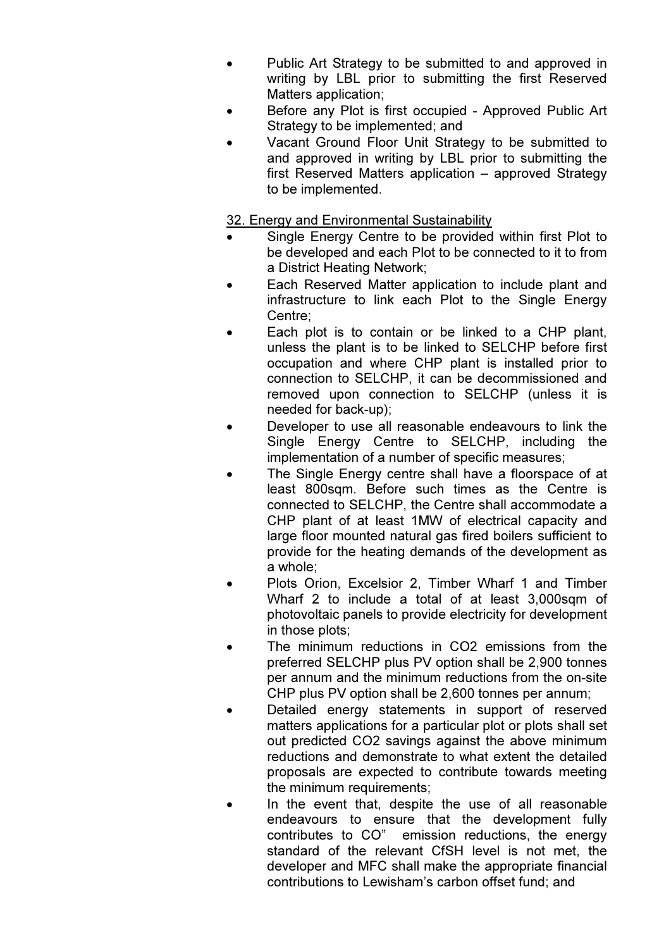- Public Art Strategy to be submitted to and approved in writing by LBL prior to submitting the first Reserved Matters application;
- Before any Plot is first occupied Approved Public Art Strategy to be implemented; and
- Vacant Ground Floor Unit Strategy to be submitted to and approved in writing by LBL prior to submitting the first Reserved Matters application – approved Strategy to be implemented.

### 32. Energy and Environmental Sustainability

- Single Energy Centre to be provided within first Plot to be developed and each Plot to be connected to it to from a District Heating Network;
- Each Reserved Matter application to include plant and infrastructure to link each Plot to the Single Energy Centre;
- Each plot is to contain or be linked to a CHP plant, unless the plant is to be linked to SELCHP before first occupation and where CHP plant is installed prior to connection to SELCHP, it can be decommissioned and removed upon connection to SELCHP (unless it is needed for back-up);
- Developer to use all reasonable endeavours to link the Single Energy Centre to SELCHP, including the implementation of a number of specific measures;
- The Single Energy centre shall have a floorspace of at least 800sqm. Before such times as the Centre is connected to SELCHP, the Centre shall accommodate a CHP plant of at least 1MW of electrical capacity and large floor mounted natural gas fired boilers sufficient to provide for the heating demands of the development as a whole;
- Plots Orion, Excelsior 2, Timber Wharf 1 and Timber Wharf 2 to include a total of at least 3,000sqm of photovoltaic panels to provide electricity for development in those plots;
- The minimum reductions in CO2 emissions from the preferred SELCHP plus PV option shall be 2,900 tonnes per annum and the minimum reductions from the on-site CHP plus PV option shall be 2,600 tonnes per annum;
- Detailed energy statements in support of reserved matters applications for a particular plot or plots shall set out predicted CO2 savings against the above minimum reductions and demonstrate to what extent the detailed proposals are expected to contribute towards meeting the minimum requirements;
- In the event that, despite the use of all reasonable endeavours to ensure that the development fully contributes to CO" emission reductions, the energy standard of the relevant CfSH level is not met, the developer and MFC shall make the appropriate financial contributions to Lewisham's carbon offset fund; and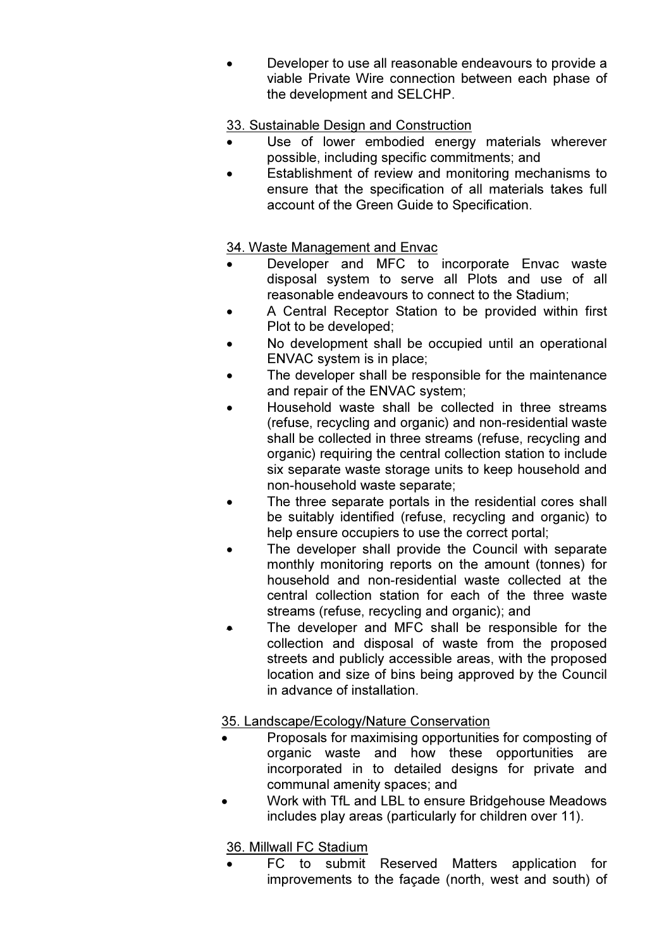• Developer to use all reasonable endeavours to provide a viable Private Wire connection between each phase of the development and SELCHP.

### 33. Sustainable Design and Construction

- Use of lower embodied energy materials wherever possible, including specific commitments; and
- Establishment of review and monitoring mechanisms to ensure that the specification of all materials takes full account of the Green Guide to Specification.

# 34. Waste Management and Envac

- Developer and MFC to incorporate Envac waste disposal system to serve all Plots and use of all reasonable endeavours to connect to the Stadium;
- A Central Receptor Station to be provided within first Plot to be developed;
- No development shall be occupied until an operational ENVAC system is in place;
- The developer shall be responsible for the maintenance and repair of the ENVAC system;
- Household waste shall be collected in three streams (refuse, recycling and organic) and non-residential waste shall be collected in three streams (refuse, recycling and organic) requiring the central collection station to include six separate waste storage units to keep household and non-household waste separate;
- The three separate portals in the residential cores shall be suitably identified (refuse, recycling and organic) to help ensure occupiers to use the correct portal;
- The developer shall provide the Council with separate monthly monitoring reports on the amount (tonnes) for household and non-residential waste collected at the central collection station for each of the three waste streams (refuse, recycling and organic); and
- The developer and MFC shall be responsible for the collection and disposal of waste from the proposed streets and publicly accessible areas, with the proposed location and size of bins being approved by the Council in advance of installation.

# 35. Landscape/Ecology/Nature Conservation

- Proposals for maximising opportunities for composting of organic waste and how these opportunities are incorporated in to detailed designs for private and communal amenity spaces; and
- Work with TfL and LBL to ensure Bridgehouse Meadows includes play areas (particularly for children over 11).

# 36. Millwall FC Stadium

• FC to submit Reserved Matters application for improvements to the façade (north, west and south) of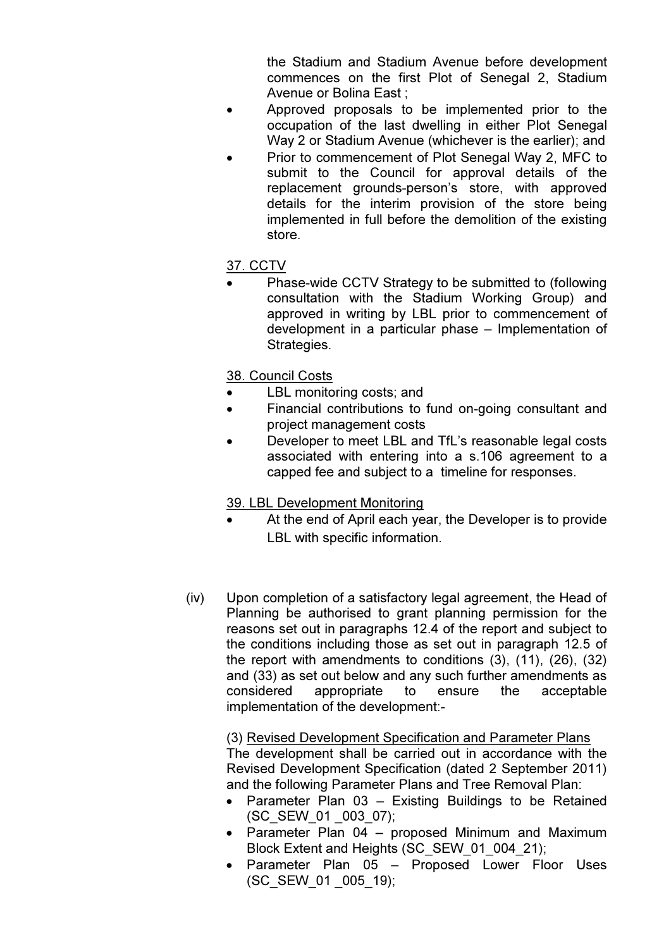the Stadium and Stadium Avenue before development commences on the first Plot of Senegal 2, Stadium Avenue or Bolina East ;

- Approved proposals to be implemented prior to the occupation of the last dwelling in either Plot Senegal Way 2 or Stadium Avenue (whichever is the earlier); and
- Prior to commencement of Plot Senegal Way 2, MFC to submit to the Council for approval details of the replacement grounds-person's store, with approved details for the interim provision of the store being implemented in full before the demolition of the existing store.

# 37. CCTV

• Phase-wide CCTV Strategy to be submitted to (following consultation with the Stadium Working Group) and approved in writing by LBL prior to commencement of development in a particular phase – Implementation of Strategies.

### 38. Council Costs

- LBL monitoring costs; and
- Financial contributions to fund on-going consultant and project management costs
- Developer to meet LBL and TfL's reasonable legal costs associated with entering into a s.106 agreement to a capped fee and subject to a timeline for responses.

#### 39. LBL Development Monitoring

- At the end of April each year, the Developer is to provide LBL with specific information.
- (iv) Upon completion of a satisfactory legal agreement, the Head of Planning be authorised to grant planning permission for the reasons set out in paragraphs 12.4 of the report and subject to the conditions including those as set out in paragraph 12.5 of the report with amendments to conditions (3), (11), (26), (32) and (33) as set out below and any such further amendments as considered appropriate to ensure the acceptable implementation of the development:-

 (3) Revised Development Specification and Parameter Plans The development shall be carried out in accordance with the Revised Development Specification (dated 2 September 2011) and the following Parameter Plans and Tree Removal Plan:

- Parameter Plan 03 Existing Buildings to be Retained (SC\_SEW\_01 \_003\_07);
- Parameter Plan 04 proposed Minimum and Maximum Block Extent and Heights (SC\_SEW\_01\_004\_21);
- Parameter Plan 05 Proposed Lower Floor Uses (SC\_SEW\_01 \_005\_19);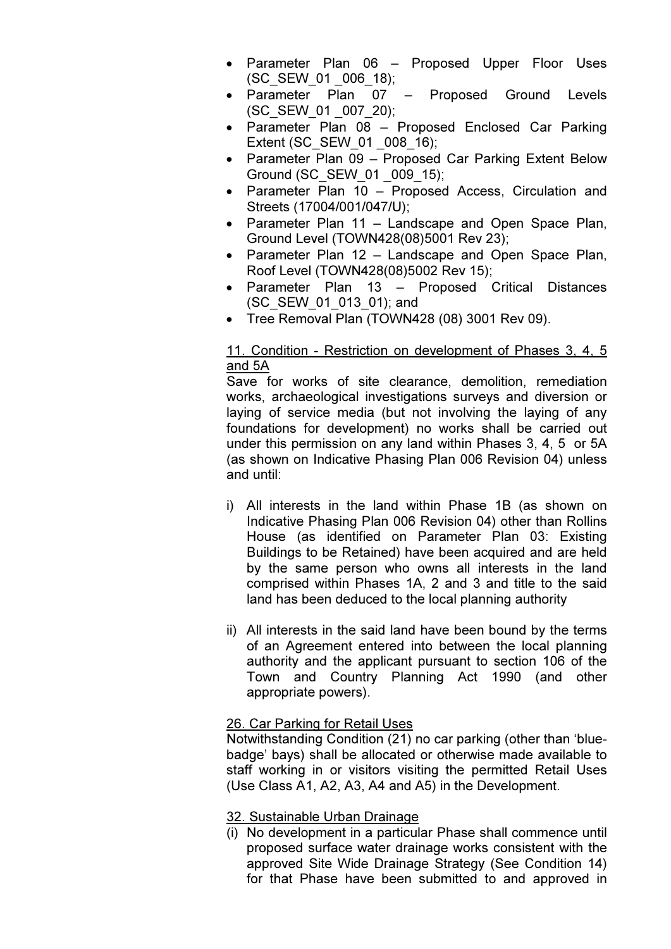- Parameter Plan 06 Proposed Upper Floor Uses (SC\_SEW\_01 \_006\_18);
- Parameter Plan 07 Proposed Ground Levels (SC\_SEW\_01 \_007\_20);
- Parameter Plan 08 Proposed Enclosed Car Parking Extent (SC\_SEW\_01 \_008\_16);
- Parameter Plan 09 Proposed Car Parking Extent Below Ground (SC\_SEW\_01 \_009\_15);
- Parameter Plan 10 Proposed Access, Circulation and Streets (17004/001/047/U);
- Parameter Plan 11 Landscape and Open Space Plan, Ground Level (TOWN428(08)5001 Rev 23);
- Parameter Plan 12 Landscape and Open Space Plan, Roof Level (TOWN428(08)5002 Rev 15);
- Parameter Plan 13 Proposed Critical Distances (SC\_SEW\_01\_013\_01); and
- Tree Removal Plan (TOWN428 (08) 3001 Rev 09).

# 11. Condition - Restriction on development of Phases 3, 4, 5 and 5A

Save for works of site clearance, demolition, remediation works, archaeological investigations surveys and diversion or laying of service media (but not involving the laying of any foundations for development) no works shall be carried out under this permission on any land within Phases 3, 4, 5 or 5A (as shown on Indicative Phasing Plan 006 Revision 04) unless and until:

- i) All interests in the land within Phase 1B (as shown on Indicative Phasing Plan 006 Revision 04) other than Rollins House (as identified on Parameter Plan 03: Existing Buildings to be Retained) have been acquired and are held by the same person who owns all interests in the land comprised within Phases 1A, 2 and 3 and title to the said land has been deduced to the local planning authority
- ii) All interests in the said land have been bound by the terms of an Agreement entered into between the local planning authority and the applicant pursuant to section 106 of the Town and Country Planning Act 1990 (and other appropriate powers).

# 26. Car Parking for Retail Uses

Notwithstanding Condition (21) no car parking (other than 'bluebadge' bays) shall be allocated or otherwise made available to staff working in or visitors visiting the permitted Retail Uses (Use Class A1, A2, A3, A4 and A5) in the Development.

# 32. Sustainable Urban Drainage

(i) No development in a particular Phase shall commence until proposed surface water drainage works consistent with the approved Site Wide Drainage Strategy (See Condition 14) for that Phase have been submitted to and approved in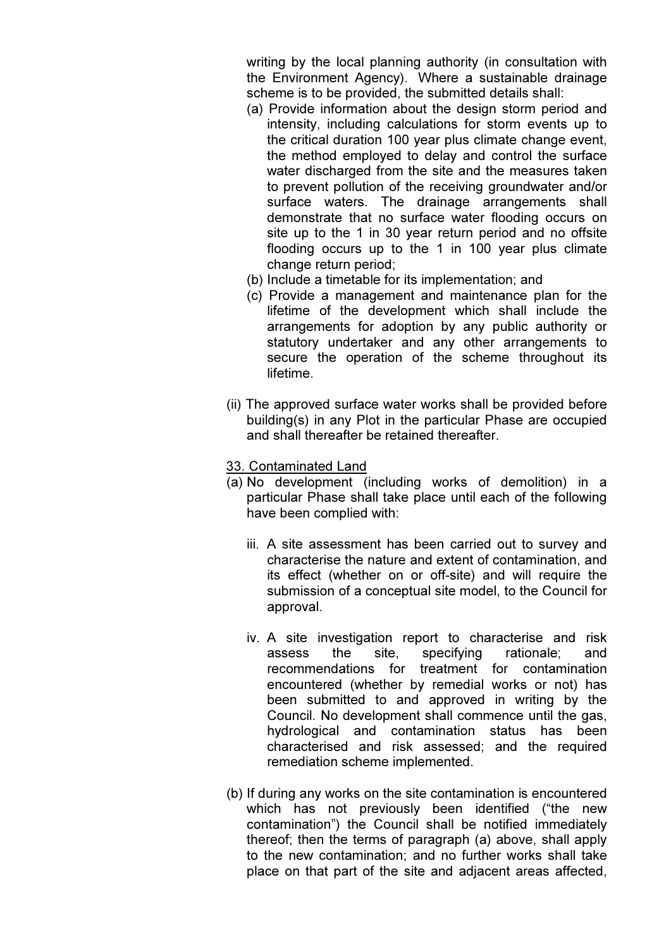writing by the local planning authority (in consultation with the Environment Agency). Where a sustainable drainage scheme is to be provided, the submitted details shall:

- (a) Provide information about the design storm period and intensity, including calculations for storm events up to the critical duration 100 year plus climate change event, the method employed to delay and control the surface water discharged from the site and the measures taken to prevent pollution of the receiving groundwater and/or surface waters. The drainage arrangements shall demonstrate that no surface water flooding occurs on site up to the 1 in 30 year return period and no offsite flooding occurs up to the 1 in 100 year plus climate change return period;
- (b) Include a timetable for its implementation; and
- (c) Provide a management and maintenance plan for the lifetime of the development which shall include the arrangements for adoption by any public authority or statutory undertaker and any other arrangements to secure the operation of the scheme throughout its lifetime.
- (ii) The approved surface water works shall be provided before building(s) in any Plot in the particular Phase are occupied and shall thereafter be retained thereafter.
- 33. Contaminated Land
- (a) No development (including works of demolition) in a particular Phase shall take place until each of the following have been complied with:
	- iii. A site assessment has been carried out to survey and characterise the nature and extent of contamination, and its effect (whether on or off-site) and will require the submission of a conceptual site model, to the Council for approval.
	- iv. A site investigation report to characterise and risk assess the site, specifying rationale; and recommendations for treatment for contamination encountered (whether by remedial works or not) has been submitted to and approved in writing by the Council. No development shall commence until the gas, hydrological and contamination status has been characterised and risk assessed; and the required remediation scheme implemented.
- (b) If during any works on the site contamination is encountered which has not previously been identified ("the new contamination") the Council shall be notified immediately thereof; then the terms of paragraph (a) above, shall apply to the new contamination; and no further works shall take place on that part of the site and adjacent areas affected,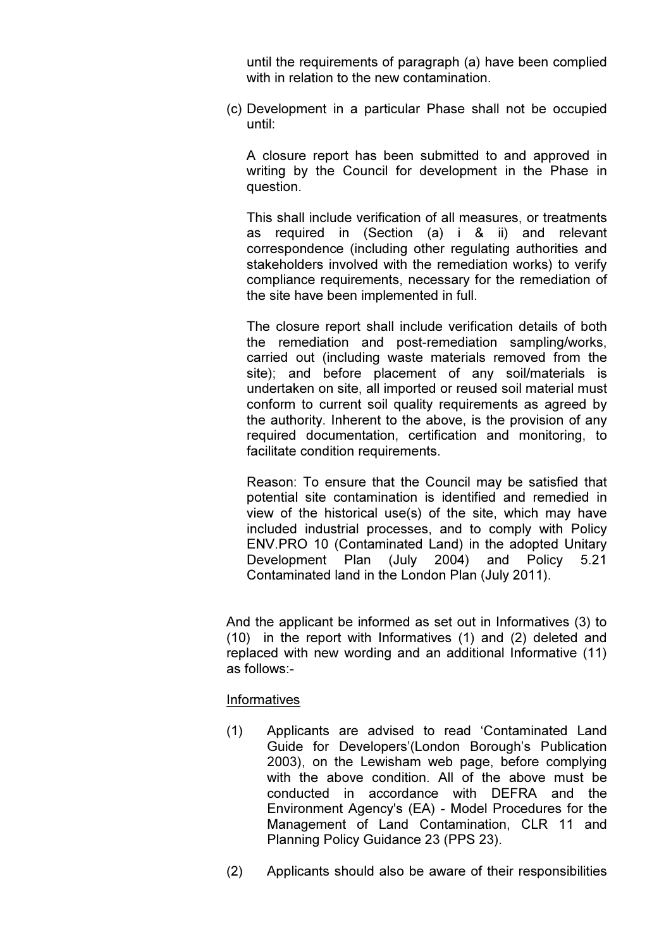until the requirements of paragraph (a) have been complied with in relation to the new contamination.

(c) Development in a particular Phase shall not be occupied until:

A closure report has been submitted to and approved in writing by the Council for development in the Phase in question.

This shall include verification of all measures, or treatments as required in (Section (a) i & ii) and relevant correspondence (including other regulating authorities and stakeholders involved with the remediation works) to verify compliance requirements, necessary for the remediation of the site have been implemented in full.

The closure report shall include verification details of both the remediation and post-remediation sampling/works, carried out (including waste materials removed from the site); and before placement of any soil/materials is undertaken on site, all imported or reused soil material must conform to current soil quality requirements as agreed by the authority. Inherent to the above, is the provision of any required documentation, certification and monitoring, to facilitate condition requirements.

Reason: To ensure that the Council may be satisfied that potential site contamination is identified and remedied in view of the historical use(s) of the site, which may have included industrial processes, and to comply with Policy ENV.PRO 10 (Contaminated Land) in the adopted Unitary Development Plan (July 2004) and Policy 5.21 Contaminated land in the London Plan (July 2011).

And the applicant be informed as set out in Informatives (3) to (10) in the report with Informatives (1) and (2) deleted and replaced with new wording and an additional Informative (11) as follows:-

#### **Informatives**

- (1) Applicants are advised to read 'Contaminated Land Guide for Developers'(London Borough's Publication 2003), on the Lewisham web page, before complying with the above condition. All of the above must be conducted in accordance with DEFRA and the Environment Agency's (EA) - Model Procedures for the Management of Land Contamination, CLR 11 and Planning Policy Guidance 23 (PPS 23).
- (2) Applicants should also be aware of their responsibilities